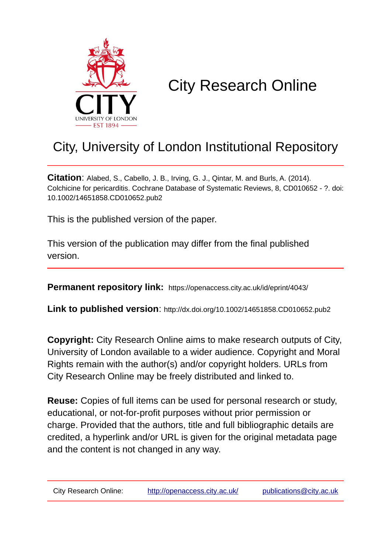

# City Research Online

# City, University of London Institutional Repository

**Citation**: Alabed, S., Cabello, J. B., Irving, G. J., Qintar, M. and Burls, A. (2014). Colchicine for pericarditis. Cochrane Database of Systematic Reviews, 8, CD010652 - ?. doi: 10.1002/14651858.CD010652.pub2

This is the published version of the paper.

This version of the publication may differ from the final published version.

**Permanent repository link:** https://openaccess.city.ac.uk/id/eprint/4043/

**Link to published version**: http://dx.doi.org/10.1002/14651858.CD010652.pub2

**Copyright:** City Research Online aims to make research outputs of City, University of London available to a wider audience. Copyright and Moral Rights remain with the author(s) and/or copyright holders. URLs from City Research Online may be freely distributed and linked to.

**Reuse:** Copies of full items can be used for personal research or study, educational, or not-for-profit purposes without prior permission or charge. Provided that the authors, title and full bibliographic details are credited, a hyperlink and/or URL is given for the original metadata page and the content is not changed in any way.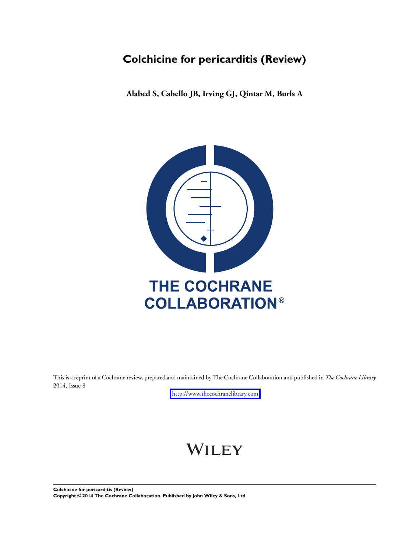## **Colchicine for pericarditis (Review)**

**Alabed S, Cabello JB, Irving GJ, Qintar M, Burls A**



This is a reprint of a Cochrane review, prepared and maintained by The Cochrane Collaboration and published in *The Cochrane Library* 2014, Issue 8

<http://www.thecochranelibrary.com>

# WILEY

**Colchicine for pericarditis (Review) Copyright © 2014 The Cochrane Collaboration. Published by John Wiley & Sons, Ltd.**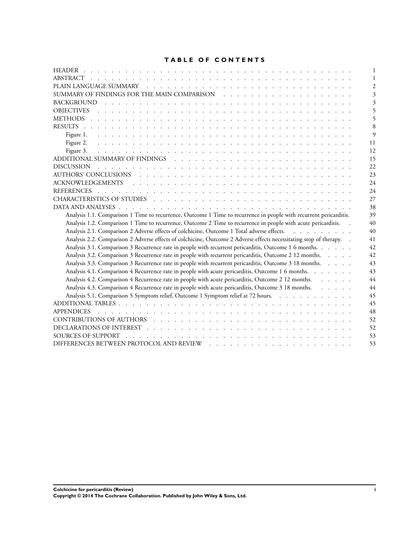#### **TABLE OF CONTENTS**

| 9                                                                                                                                                                                                                                    |
|--------------------------------------------------------------------------------------------------------------------------------------------------------------------------------------------------------------------------------------|
| 11                                                                                                                                                                                                                                   |
| 12                                                                                                                                                                                                                                   |
| 15                                                                                                                                                                                                                                   |
| 22                                                                                                                                                                                                                                   |
| AUTHORS' CONCLUSIONS research and the contract of the contract of the contract of the contract of the contract of the contract of the contract of the contract of the contract of the contract of the contract of the contract<br>23 |
| 24                                                                                                                                                                                                                                   |
| 24                                                                                                                                                                                                                                   |
| 27                                                                                                                                                                                                                                   |
| 38                                                                                                                                                                                                                                   |
| Analysis 1.1. Comparison 1 Time to recurrence, Outcome 1 Time to recurrence in people with recurrent pericarditis.<br>39                                                                                                             |
| 40<br>Analysis 1.2. Comparison 1 Time to recurrence, Outcome 2 Time to recurrence in people with acute pericarditis.<br>$\sim$                                                                                                       |
| Analysis 2.1. Comparison 2 Adverse effects of colchicine, Outcome 1 Total adverse effects.<br>40                                                                                                                                     |
| Analysis 2.2. Comparison 2 Adverse effects of colchicine, Outcome 2 Adverse effects necessitating stop of therapy. .<br>41                                                                                                           |
| Analysis 3.1. Comparison 3 Recurrence rate in people with recurrent pericarditis, Outcome 1 6 months.<br>42                                                                                                                          |
| Analysis 3.2. Comparison 3 Recurrence rate in people with recurrent pericarditis, Outcome 2 12 months.<br>42                                                                                                                         |
| Analysis 3.3. Comparison 3 Recurrence rate in people with recurrent pericarditis, Outcome 3 18 months.<br>43                                                                                                                         |
| Analysis 4.1. Comparison 4 Recurrence rate in people with acute pericarditis, Outcome 1 6 months.<br>43                                                                                                                              |
| Analysis 4.2. Comparison 4 Recurrence rate in people with acute pericarditis, Outcome 2 12 months.<br>44                                                                                                                             |
| Analysis 4.3. Comparison 4 Recurrence rate in people with acute pericarditis, Outcome 3 18 months.<br>44                                                                                                                             |
| Analysis 5.1. Comparison 5 Symptom relief, Outcome 1 Symptom relief at 72 hours.<br>45                                                                                                                                               |
| 45                                                                                                                                                                                                                                   |
| 48<br><b>APPENDICES</b>                                                                                                                                                                                                              |
| 52                                                                                                                                                                                                                                   |
| 52                                                                                                                                                                                                                                   |
| 53                                                                                                                                                                                                                                   |
| 53                                                                                                                                                                                                                                   |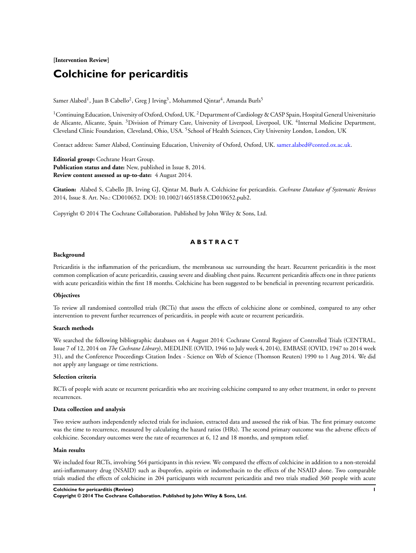#### **[Intervention Review]**

### **Colchicine for pericarditis**

Samer Alabed $^{\rm l}$ , Juan B Cabello $^{\rm 2}$ , Greg J Irving $^{\rm 3}$ , Mohammed Qintar $^{\rm 4}$ , Amanda Burls $^{\rm 5}$ 

<sup>1</sup> Continuing Education, University of Oxford, Oxford, UK.<sup>2</sup> Department of Cardiology & CASP Spain, Hospital General Universitario de Alicante, Alicante, Spain. <sup>3</sup>Division of Primary Care, University of Liverpool, Liverpool, UK. <sup>4</sup> Internal Medicine Department, Cleveland Clinic Foundation, Cleveland, Ohio, USA. <sup>5</sup> School of Health Sciences, City University London, London, UK

Contact address: Samer Alabed, Continuing Education, University of Oxford, Oxford, UK. [samer.alabed@conted.ox.ac.uk](mailto:samer.alabed@conted.ox.ac.uk).

**Editorial group:** Cochrane Heart Group. **Publication status and date:** New, published in Issue 8, 2014. **Review content assessed as up-to-date:** 4 August 2014.

**Citation:** Alabed S, Cabello JB, Irving GJ, Qintar M, Burls A. Colchicine for pericarditis. *Cochrane Database of Systematic Reviews* 2014, Issue 8. Art. No.: CD010652. DOI: 10.1002/14651858.CD010652.pub2.

Copyright © 2014 The Cochrane Collaboration. Published by John Wiley & Sons, Ltd.

#### **A B S T R A C T**

#### **Background**

Pericarditis is the inflammation of the pericardium, the membranous sac surrounding the heart. Recurrent pericarditis is the most common complication of acute pericarditis, causing severe and disabling chest pains. Recurrent pericarditis affects one in three patients with acute pericarditis within the first 18 months. Colchicine has been suggested to be beneficial in preventing recurrent pericarditis.

#### **Objectives**

To review all randomised controlled trials (RCTs) that assess the effects of colchicine alone or combined, compared to any other intervention to prevent further recurrences of pericarditis, in people with acute or recurrent pericarditis.

#### **Search methods**

We searched the following bibliographic databases on 4 August 2014: Cochrane Central Register of Controlled Trials (CENTRAL, Issue 7 of 12, 2014 on *The Cochrane Library*), MEDLINE (OVID, 1946 to July week 4, 2014), EMBASE (OVID, 1947 to 2014 week 31), and the Conference Proceedings Citation Index - Science on Web of Science (Thomson Reuters) 1990 to 1 Aug 2014. We did not apply any language or time restrictions.

#### **Selection criteria**

RCTs of people with acute or recurrent pericarditis who are receiving colchicine compared to any other treatment, in order to prevent recurrences.

#### **Data collection and analysis**

Two review authors independently selected trials for inclusion, extracted data and assessed the risk of bias. The first primary outcome was the time to recurrence, measured by calculating the hazard ratios (HRs). The second primary outcome was the adverse effects of colchicine. Secondary outcomes were the rate of recurrences at 6, 12 and 18 months, and symptom relief.

#### **Main results**

We included four RCTs, involving 564 participants in this review. We compared the effects of colchicine in addition to a non-steroidal anti-inflammatory drug (NSAID) such as ibuprofen, aspirin or indomethacin to the effects of the NSAID alone. Two comparable trials studied the effects of colchicine in 204 participants with recurrent pericarditis and two trials studied 360 people with acute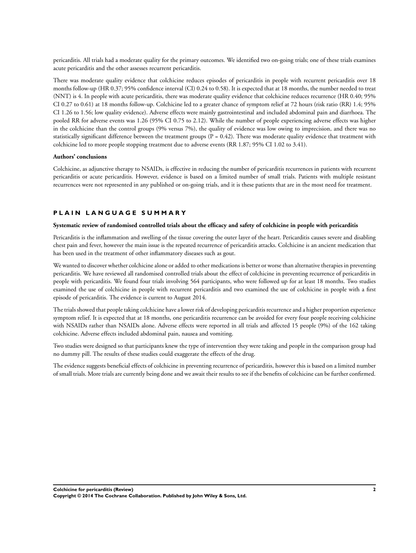pericarditis. All trials had a moderate quality for the primary outcomes. We identified two on-going trials; one of these trials examines acute pericarditis and the other assesses recurrent pericarditis.

There was moderate quality evidence that colchicine reduces episodes of pericarditis in people with recurrent pericarditis over 18 months follow-up (HR 0.37; 95% confidence interval (CI) 0.24 to 0.58). It is expected that at 18 months, the number needed to treat (NNT) is 4. In people with acute pericarditis, there was moderate quality evidence that colchicine reduces recurrence (HR 0.40; 95% CI 0.27 to 0.61) at 18 months follow-up. Colchicine led to a greater chance of symptom relief at 72 hours (risk ratio (RR) 1.4; 95% CI 1.26 to 1.56; low quality evidence). Adverse effects were mainly gastrointestinal and included abdominal pain and diarrhoea. The pooled RR for adverse events was 1.26 (95% CI 0.75 to 2.12). While the number of people experiencing adverse effects was higher in the colchicine than the control groups (9% versus 7%), the quality of evidence was low owing to imprecision, and there was no statistically significant difference between the treatment groups  $(P = 0.42)$ . There was moderate quality evidence that treatment with colchicine led to more people stopping treatment due to adverse events (RR 1.87; 95% CI 1.02 to 3.41).

#### **Authors' conclusions**

Colchicine, as adjunctive therapy to NSAIDs, is effective in reducing the number of pericarditis recurrences in patients with recurrent pericarditis or acute pericarditis. However, evidence is based on a limited number of small trials. Patients with multiple resistant recurrences were not represented in any published or on-going trials, and it is these patients that are in the most need for treatment.

#### **P L A I N L A N G U A G E S U M M A R Y**

#### **Systematic review of randomised controlled trials about the efficacy and safety of colchicine in people with pericarditis**

Pericarditis is the inflammation and swelling of the tissue covering the outer layer of the heart. Pericarditis causes severe and disabling chest pain and fever, however the main issue is the repeated recurrence of pericarditis attacks. Colchicine is an ancient medication that has been used in the treatment of other inflammatory diseases such as gout.

We wanted to discover whether colchicine alone or added to other medications is better or worse than alternative therapies in preventing pericarditis. We have reviewed all randomised controlled trials about the effect of colchicine in preventing recurrence of pericarditis in people with pericarditis. We found four trials involving 564 participants, who were followed up for at least 18 months. Two studies examined the use of colchicine in people with recurrent pericarditis and two examined the use of colchicine in people with a first episode of pericarditis. The evidence is current to August 2014.

The trials showed that people taking colchicine have a lower risk of developing pericarditis recurrence and a higher proportion experience symptom relief. It is expected that at 18 months, one pericarditis recurrence can be avoided for every four people receiving colchicine with NSAIDs rather than NSAIDs alone. Adverse effects were reported in all trials and affected 15 people (9%) of the 162 taking colchicine. Adverse effects included abdominal pain, nausea and vomiting.

Two studies were designed so that participants knew the type of intervention they were taking and people in the comparison group had no dummy pill. The results of these studies could exaggerate the effects of the drug.

The evidence suggests beneficial effects of colchicine in preventing recurrence of pericarditis, however this is based on a limited number of small trials. More trials are currently being done and we await their results to see if the benefits of colchicine can be further confirmed.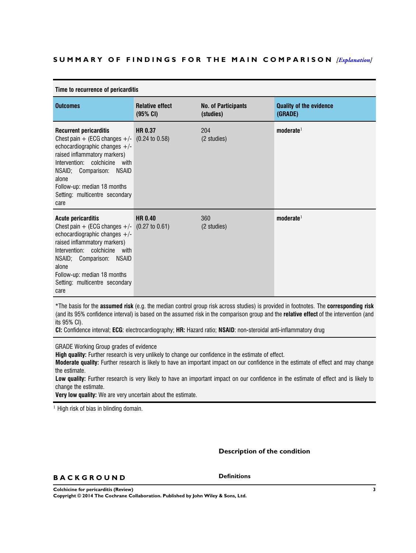#### <span id="page-5-0"></span>**S U M M A R Y O F F I N D I N G S F O R T H E M A I N C O M P A R I S O N** *[[Explanation\]](http://www.thecochranelibrary.com/view/0/SummaryFindings.html)*

| Time to recurrence of pericarditis                                                                                                                                                                                                                                                                  |                                    |                                         |                                           |  |  |  |  |
|-----------------------------------------------------------------------------------------------------------------------------------------------------------------------------------------------------------------------------------------------------------------------------------------------------|------------------------------------|-----------------------------------------|-------------------------------------------|--|--|--|--|
| <b>Outcomes</b>                                                                                                                                                                                                                                                                                     | <b>Relative effect</b><br>(95% CI) | <b>No. of Participants</b><br>(studies) | <b>Quality of the evidence</b><br>(GRADE) |  |  |  |  |
| <b>Recurrent pericarditis</b><br>Chest pain $+$ (ECG changes $+/-$ (0.24 to 0.58)<br>echocardiographic changes $+/-$<br>raised inflammatory markers)<br>Intervention: colchicine with<br>NSAID; Comparison: NSAID<br>alone<br>Follow-up: median 18 months<br>Setting: multicentre secondary<br>care | <b>HR 0.37</b>                     | 204<br>(2 studies)                      | $\mathbf{moderate}^1$                     |  |  |  |  |
| <b>Acute pericarditis</b><br>Chest pain + (ECG changes $+/-$ (0.27 to 0.61)<br>echocardiographic changes $+/-$<br>raised inflammatory markers)<br>Intervention: colchicine with<br>NSAID; Comparison: NSAID<br>alone<br>Follow-up: median 18 months<br>Setting: multicentre secondary<br>care       | <b>HR 0.40</b>                     | 360<br>(2 studies)                      | $\mathbf{moderate}^1$                     |  |  |  |  |

\*The basis for the **assumed risk** (e.g. the median control group risk across studies) is provided in footnotes. The **corresponding risk** (and its 95% confidence interval) is based on the assumed risk in the comparison group and the **relative effect** of the intervention (and its 95% CI).

**CI:** Confidence interval; **ECG**: electrocardiography; **HR:** Hazard ratio; **NSAID**: non-steroidal anti-inflammatory drug

GRADE Working Group grades of evidence

**High quality:** Further research is very unlikely to change our confidence in the estimate of effect.

**Moderate quality:** Further research is likely to have an important impact on our confidence in the estimate of effect and may change the estimate.

**Low quality:** Further research is very likely to have an important impact on our confidence in the estimate of effect and is likely to change the estimate.

**Very low quality:** We are very uncertain about the estimate.

<sup>1</sup> High risk of bias in blinding domain.

**Description of the condition**

#### **B A C K G R O U N D**

**Definitions**

**Colchicine for pericarditis (Review) 3 Copyright © 2014 The Cochrane Collaboration. Published by John Wiley & Sons, Ltd.**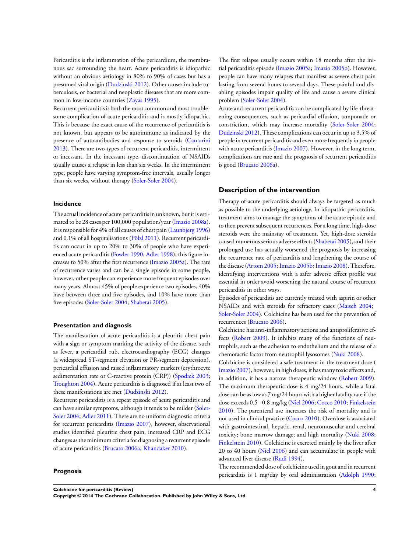Pericarditis is the inflammation of the pericardium, the membranous sac surrounding the heart. Acute pericarditis is idiopathic without an obvious aetiology in 80% to 90% of cases but has a presumed viral origin [\(Dudzinski 2012](#page-26-0)). Other causes include tuberculosis, or bacterial and neoplastic diseases that are more common in low-income countries [\(Zayas 1995](#page-26-0)).

Recurrent pericarditis is both the most common and most troublesome complication of acute pericarditis and is mostly idiopathic. This is because the exact cause of the recurrence of pericarditis is not known, but appears to be autoimmune as indicated by the presence of autoantibodies and response to steroids ([Cantarini](#page-26-0) [2013](#page-26-0)). There are two types of recurrent pericarditis, intermittent or incessant. In the incessant type, discontinuation of NSAIDs usually causes a relapse in less than six weeks. In the intermittent type, people have varying symptom-free intervals, usually longer than six weeks, without therapy [\(Soler-Soler 2004](#page-26-0)).

#### **Incidence**

The actual incidence of acute pericarditis in unknown, but it is estimated to be 28 cases per 100,000 population/year [\(Imazio 2008a](#page-26-0)). It is responsible for 4% of all causes of chest pain [\(Launbjerg 1996](#page-26-0)) and 0.1% of all hospitalisations [\(Pölzl 2011\)](#page-26-0). Recurrent pericarditis can occur in up to 20% to 30% of people who have experienced acute pericarditis ([Fowler 1990;](#page-26-0) [Adler 1998\)](#page-26-0); this figure increases to 50% after the first recurrence [\(Imazio 2005a\)](#page-26-0). The rate of recurrence varies and can be a single episode in some people, however, other people can experience more frequent episodes over many years. Almost 45% of people experience two episodes, 40% have between three and five episodes, and 10% have more than five episodes [\(Soler-Soler 2004;](#page-26-0) [Shabetai 2005\)](#page-26-0).

#### **Presentation and diagnosis**

The manifestation of acute pericarditis is a pleuritic chest pain with a sign or symptom marking the activity of the disease, such as fever, a pericardial rub, electrocardiography (ECG) changes (a widespread ST-segment elevation or PR-segment depression), pericardial effusion and raised inflammatory markers (erythrocyte sedimentation rate or C-reactive protein (CRP)) [\(Spodick 2003;](#page-26-0) [Troughton 2004](#page-26-0)). Acute pericarditis is diagnosed if at least two of these manifestations are met [\(Dudzinski 2012\)](#page-26-0).

Recurrent pericarditis is a repeat episode of acute pericarditis and can have similar symptoms, although it tends to be milder ([Soler-](#page-26-0)[Soler 2004;](#page-26-0) [Adler 2011\)](#page-26-0). There are no uniform diagnostic criteria for recurrent pericarditis [\(Imazio 2007](#page-26-0)), however, observational studies identified pleuritic chest pain, increased CRP and ECG changes as the minimum criteriafor diagnosing a recurrent episode of acute pericarditis [\(Brucato 2006a;](#page-26-0) [Khandaker 2010\)](#page-26-0).

#### **Prognosis**

The first relapse usually occurs within 18 months after the initial pericarditis episode ([Imazio 2005a](#page-26-0); [Imazio 2005b](#page-26-0)). However, people can have many relapses that manifest as severe chest pain lasting from several hours to several days. These painful and disabling episodes impair quality of life and cause a severe clinical problem ([Soler-Soler 2004\)](#page-26-0).

Acute and recurrent pericarditis can be complicated by life-threatening consequences, such as pericardial effusion, tamponade or constriction, which may increase mortality ([Soler-Soler 2004;](#page-26-0) [Dudzinski 2012\)](#page-26-0). These complications can occur in up to 3.5% of people in recurrent pericarditis and even more frequently in people with acute pericarditis [\(Imazio 2007](#page-26-0)). However, in the long term, complications are rare and the prognosis of recurrent pericarditis is good [\(Brucato 2006a](#page-26-0)).

#### **Description of the intervention**

Therapy of acute pericarditis should always be targeted as much as possible to the underlying aetiology. In idiopathic pericarditis, treatment aims to manage the symptoms of the acute episode and to then prevent subsequent recurrences. For a long time, high-dose steroids were the mainstay of treatment. Yet, high-dose steroids caused numerous serious adverse effects ([Shabetai 2005\)](#page-26-0), and their prolonged use has actually worsened the prognosis by increasing the recurrence rate of pericarditis and lengthening the course of the disease ([Artom 2005](#page-26-0); [Imazio 2005b;](#page-26-0) [Imazio 2008](#page-26-0)). Therefore, identifying interventions with a safer adverse effect profile was essential in order avoid worsening the natural course of recurrent pericarditis in other ways.

Episodes of pericarditis are currently treated with aspirin or other NSAIDs and with steroids for refractory cases ([Maisch 2004](#page-26-0); [Soler-Soler 2004\)](#page-26-0). Colchicine has been used for the prevention of recurrences [\(Brucato 2006\)](#page-26-0).

Colchicine has anti-inflammatory actions and antiproliferative effects [\(Robert 2009](#page-26-0)). It inhibits many of the functions of neutrophils, such as the adhesion to endothelium and the release of a chemotactic factor from neutrophil lysosomes [\(Nuki 2008\)](#page-26-0).

Colchicine is considered a safe treatment in the treatment dose ( [Imazio 2007](#page-26-0)), however, in high doses, it has many toxic effects and, in addition, it has a narrow therapeutic window [\(Robert 2009](#page-26-0)). The maximum therapeutic dose is 4 mg/24 hours, while a fatal dose can be as low as 7 mg/24 hours with a higher fatality rate if the dose exceeds 0.5 - 0.8 mg/kg [\(Niel 2006](#page-26-0); [Cocco 2010](#page-26-0); [Finkelstein](#page-26-0) [2010](#page-26-0)). The parenteral use increases the risk of mortality and is not used in clinical practice [\(Cocco 2010\)](#page-26-0). Overdose is associated with gastrointestinal, hepatic, renal, neuromuscular and cerebral toxicity; bone marrow damage; and high mortality [\(Nuki 2008;](#page-26-0) [Finkelstein 2010](#page-26-0)). Colchicine is excreted mainly by the liver after 20 to 40 hours [\(Niel 2006](#page-26-0)) and can accumulate in people with advanced liver disease [\(Rudi 1994\)](#page-26-0).

The recommended dose of colchicine used in gout and in recurrent pericarditis is 1 mg/day by oral administration [\(Adolph 1990;](#page-26-0)

**Colchicine for pericarditis (Review) 4**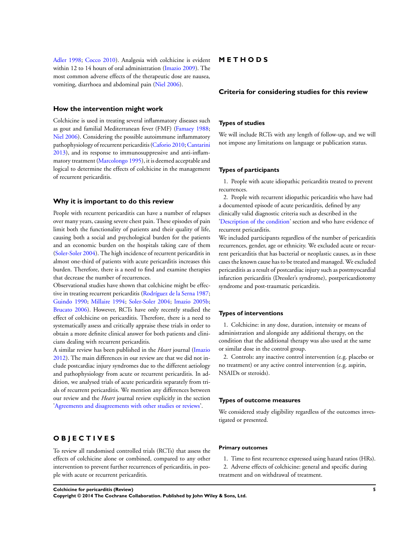[Adler 1998](#page-26-0); [Cocco 2010](#page-26-0)). Analgesia with colchicine is evident within 12 to 14 hours of oral administration ([Imazio 2009\)](#page-26-0). The most common adverse effects of the therapeutic dose are nausea, vomiting, diarrhoea and abdominal pain ([Niel 2006](#page-26-0)).

#### **How the intervention might work**

Colchicine is used in treating several inflammatory diseases such as gout and familial Mediterranean fever (FMF) ([Famaey 1988;](#page-26-0) [Niel 2006](#page-26-0)). Considering the possible autoimmune inflammatory pathophysiology of recurrent pericarditis [\(Caforio 2010](#page-26-0); [Cantarini](#page-26-0) [2013](#page-26-0)), and its response to immunosuppressive and anti-inflammatory treatment ([Marcolongo 1995\)](#page-26-0), it is deemed acceptable and logical to determine the effects of colchicine in the management of recurrent pericarditis.

#### **Why it is important to do this review**

People with recurrent pericarditis can have a number of relapses over many years, causing severe chest pain. These episodes of pain limit both the functionality of patients and their quality of life, causing both a social and psychological burden for the patients and an economic burden on the hospitals taking care of them [\(Soler-Soler 2004\)](#page-26-0). The high incidence of recurrent pericarditis in almost one-third of patients with acute pericarditis increases this burden. Therefore, there is a need to find and examine therapies that decrease the number of recurrences.

Observational studies have shown that colchicine might be effective in treating recurrent pericarditis ([Rodríguez de la Serna 1987;](#page-26-0) [Guindo 1990;](#page-26-0) [Millaire 1994](#page-26-0); [Soler-Soler 2004;](#page-26-0) [Imazio 2005b;](#page-26-0) [Brucato 2006](#page-26-0)). However, RCTs have only recently studied the effect of colchicine on pericarditis. Therefore, there is a need to systematically assess and critically appraise these trials in order to obtain a more definite clinical answer for both patients and clinicians dealing with recurrent pericarditis.

A similar review has been published in the *Heart* journal [\(Imazio](#page-26-0) [2012](#page-26-0)). The main differences in our review are that we did not include postcardiac injury syndromes due to the different aetiology and pathophysiology from acute or recurrent pericarditis. In addition, we analysed trials of acute pericarditis separately from trials of recurrent pericarditis. We mention any differences between our review and the *Heart* journal review explicitly in the section ['Agreements and disagreements with other studies or reviews](#page-24-0)'.

#### **O B J E C T I V E S**

To review all randomised controlled trials (RCTs) that assess the effects of colchicine alone or combined, compared to any other intervention to prevent further recurrences of pericarditis, in people with acute or recurrent pericarditis.

#### **M E T H O D S**

#### **Criteria for considering studies for this review**

#### **Types of studies**

We will include RCTs with any length of follow-up, and we will not impose any limitations on language or publication status.

#### **Types of participants**

1. People with acute idiopathic pericarditis treated to prevent recurrences.

2. People with recurrent idiopathic pericarditis who have had a documented episode of acute pericarditis, defined by any clinically valid diagnostic criteria such as described in the ['Description of the condition'](#page-5-0) section and who have evidence of recurrent pericarditis.

We included participants regardless of the number of pericarditis recurrences, gender, age or ethnicity. We excluded acute or recurrent pericarditis that has bacterial or neoplastic causes, as in these cases the known cause has to be treated and managed. We excluded pericarditis as a result of postcardiac injury such as postmyocardial infarction pericarditis (Dressler's syndrome), postpericardiotomy syndrome and post-traumatic pericarditis.

#### **Types of interventions**

1. Colchicine: in any dose, duration, intensity or means of administration and alongside any additional therapy, on the condition that the additional therapy was also used at the same or similar dose in the control group.

2. Controls: any inactive control intervention (e.g. placebo or no treatment) or any active control intervention (e.g. aspirin, NSAIDs or steroids).

#### **Types of outcome measures**

We considered study eligibility regardless of the outcomes investigated or presented.

#### **Primary outcomes**

- 1. Time to first recurrence expressed using hazard ratios (HRs).
- 2. Adverse effects of colchicine: general and specific during treatment and on withdrawal of treatment.

**Colchicine for pericarditis (Review) 5**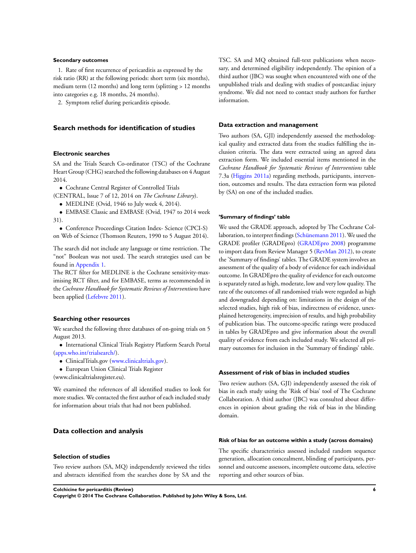#### **Secondary outcomes**

1. Rate of first recurrence of pericarditis as expressed by the risk ratio (RR) at the following periods: short term (six months), medium term (12 months) and long term (splitting > 12 months into categories e.g. 18 months, 24 months).

2. Symptom relief during pericarditis episode.

#### **Search methods for identification of studies**

#### **Electronic searches**

SA and the Trials Search Co-ordinator (TSC) of the Cochrane Heart Group (CHG) searched the following databases on 4 August 2014.

• Cochrane Central Register of Controlled Trials

(CENTRAL, Issue 7 of 12, 2014 on *The Cochrane Library*).

• MEDLINE (Ovid, 1946 to July week 4, 2014).

• EMBASE Classic and EMBASE (Ovid, 1947 to 2014 week 31).

• Conference Proceedings Citation Index- Science (CPCI-S) on Web of Science (Thomson Reuters, 1990 to 5 August 2014).

The search did not include any language or time restriction. The "not" Boolean was not used. The search strategies used can be found in [Appendix 1](#page-51-0).

The RCT filter for MEDLINE is the Cochrane sensitivity-maximising RCT filter, and for EMBASE, terms as recommended in the *Cochrane Handbook for Systematic Reviews of Interventions* have been applied [\(Lefebvre 2011](#page-26-0)).

#### **Searching other resources**

We searched the following three databases of on-going trials on 5 August 2013.

• International Clinical Trials Registry Platform Search Portal [\(apps.who.int/trialsearch/](http://apps.who.int/trialsearch/)).

- ClinicalTrials.gov ([www.clinicaltrials.gov](http://www.clinicaltrials.gov)).
- European Union Clinical Trials Register
- (www.clinicaltrialsregister.eu).

We examined the references of all identified studies to look for more studies. We contacted the first author of each included study for information about trials that had not been published.

#### **Data collection and analysis**

#### **Selection of studies**

Two review authors (SA, MQ) independently reviewed the titles and abstracts identified from the searches done by SA and the TSC. SA and MQ obtained full-text publications when necessary, and determined eligibility independently. The opinion of a third author (JBC) was sought when encountered with one of the unpublished trials and dealing with studies of postcardiac injury syndrome. We did not need to contact study authors for further information.

#### **Data extraction and management**

Two authors (SA, GJI) independently assessed the methodological quality and extracted data from the studies fulfilling the inclusion criteria. The data were extracted using an agreed data extraction form. We included essential items mentioned in the *Cochrane Handbook for Systematic Reviews of Interventions* table 7.3a ([Higgins 2011a](#page-26-0)) regarding methods, participants, intervention, outcomes and results. The data extraction form was piloted by (SA) on one of the included studies.

#### **'Summary of findings' table**

We used the GRADE approach, adopted by The Cochrane Collaboration, to interpret findings [\(Schünemann 2011](#page-26-0)). We used the GRADE profiler (GRADEpro) ([GRADEpro 2008](#page-26-0)) programme to import data from Review Manager 5 ([RevMan 2012](#page-26-0)), to create the 'Summary of findings' tables. The GRADE system involves an assessment of the quality of a body of evidence for each individual outcome. In GRADEpro the quality of evidence for each outcome is separately rated as high, moderate, low and very low quality. The rate of the outcomes of all randomised trials were regarded as high and downgraded depending on: limitations in the design of the selected studies, high risk of bias, indirectness of evidence, unexplained heterogeneity, imprecision of results, and high probability of publication bias. The outcome-specific ratings were produced in tables by GRADEpro and give information about the overall quality of evidence from each included study. We selected all primary outcomes for inclusion in the 'Summary of findings' table.

#### **Assessment of risk of bias in included studies**

Two review authors (SA, GJI) independently assessed the risk of bias in each study using the 'Risk of bias' tool of The Cochrane Collaboration. A third author (JBC) was consulted about differences in opinion about grading the risk of bias in the blinding domain.

#### **Risk of bias for an outcome within a study (across domains)**

The specific characteristics assessed included random sequence generation, allocation concealment, blinding of participants, personnel and outcome assessors, incomplete outcome data, selective reporting and other sources of bias.

**Colchicine for pericarditis (Review) 6**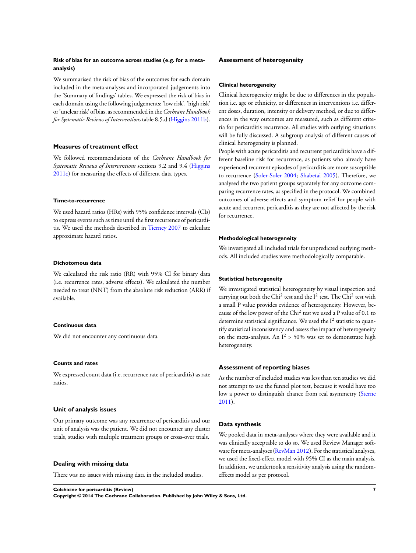#### **Risk of bias for an outcome across studies (e.g. for a metaanalysis)**

We summarised the risk of bias of the outcomes for each domain included in the meta-analyses and incorporated judgements into the 'Summary of findings' tables. We expressed the risk of bias in each domain using the following judgements: 'low risk', 'high risk' or 'unclear risk' of bias, as recommended in the*Cochrane Handbook for Systematic Reviews of Interventions* table 8.5.d [\(Higgins 2011b](#page-26-0)).

#### **Measures of treatment effect**

We followed recommendations of the *Cochrane Handbook for Systematic Reviews of Interventions* sections 9.2 and 9.4 ([Higgins](#page-26-0) [2011c\)](#page-26-0) for measuring the effects of different data types.

#### **Time-to-recurrence**

We used hazard ratios (HRs) with 95% confidence intervals (CIs) to express events such as time until the first recurrence of pericarditis. We used the methods described in [Tierney 2007](#page-26-0) to calculate approximate hazard ratios.

#### **Dichotomous data**

We calculated the risk ratio (RR) with 95% CI for binary data (i.e. recurrence rates, adverse effects). We calculated the number needed to treat (NNT) from the absolute risk reduction (ARR) if available.

#### **Continuous data**

We did not encounter any continuous data.

#### **Counts and rates**

We expressed count data (i.e. recurrence rate of pericarditis) as rate ratios.

#### **Unit of analysis issues**

Our primary outcome was any recurrence of pericarditis and our unit of analysis was the patient. We did not encounter any cluster trials, studies with multiple treatment groups or cross-over trials.

#### **Dealing with missing data**

There was no issues with missing data in the included studies.

#### **Assessment of heterogeneity**

#### **Clinical heterogeneity**

Clinical heterogeneity might be due to differences in the population i.e. age or ethnicity, or differences in interventions i.e. different doses, duration, intensity or delivery method, or due to differences in the way outcomes are measured, such as different criteria for pericarditis recurrence. All studies with outlying situations will be fully discussed. A subgroup analysis of different causes of clinical heterogeneity is planned.

People with acute pericarditis and recurrent pericarditis have a different baseline risk for recurrence, as patients who already have experienced recurrent episodes of pericarditis are more susceptible to recurrence ([Soler-Soler 2004;](#page-26-0) [Shabetai 2005\)](#page-26-0). Therefore, we analysed the two patient groups separately for any outcome comparing recurrence rates, as specified in the protocol. We combined outcomes of adverse effects and symptom relief for people with acute and recurrent pericarditis as they are not affected by the risk for recurrence.

#### **Methodological heterogeneity**

We investigated all included trials for unpredicted outlying methods. All included studies were methodologically comparable.

#### **Statistical heterogeneity**

We investigated statistical heterogeneity by visual inspection and carrying out both the Chi<sup>2</sup> test and the  $I^2$  test. The Chi<sup>2</sup> test with a small P value provides evidence of heterogeneity. However, because of the low power of the Chi<sup>2</sup> test we used a P value of 0.1 to determine statistical significance. We used the  $I^2$  statistic to quantify statistical inconsistency and assess the impact of heterogeneity on the meta-analysis. An  $I^2 > 50\%$  was set to demonstrate high heterogeneity.

#### **Assessment of reporting biases**

As the number of included studies was less than ten studies we did not attempt to use the funnel plot test, because it would have too low a power to distinguish chance from real asymmetry [\(Sterne](#page-26-0) [2011](#page-26-0)).

#### **Data synthesis**

We pooled data in meta-analyses where they were available and it was clinically acceptable to do so. We used Review Manager software for meta-analyses ([RevMan 2012\)](#page-26-0). For the statistical analyses, we used the fixed-effect model with 95% CI as the main analysis. In addition, we undertook a sensitivity analysis using the randomeffects model as per protocol.

**Colchicine for pericarditis (Review) 7 Copyright © 2014 The Cochrane Collaboration. Published by John Wiley & Sons, Ltd.**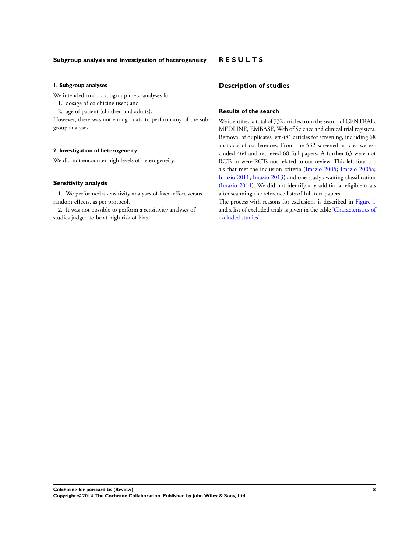#### **Subgroup analysis and investigation of heterogeneity**

#### **1. Subgroup analyses**

We intended to do a subgroup meta-analyses for:

- 1. dosage of colchicine used; and
- 2. age of patient (children and adults).

However, there was not enough data to perform any of the subgroup analyses.

#### **2. Investigation of heterogeneity**

We did not encounter high levels of heterogeneity.

#### **Sensitivity analysis**

1. We performed a sensitivity analyses of fixed-effect versus random-effects, as per protocol.

2. It was not possible to perform a sensitivity analyses of studies judged to be at high risk of bias.

#### **R E S U L T S**

#### **Description of studies**

#### **Results of the search**

We identified a total of 732 articles from the search of CENTRAL, MEDLINE, EMBASE, Web of Science and clinical trial registers. Removal of duplicates left 481 articles for screening, including 68 abstracts of conferences. From the 532 screened articles we excluded 464 and retrieved 68 full papers. A further 63 were not RCTs or were RCTs not related to our review. This left four trials that met the inclusion criteria [\(Imazio 2005](#page-26-0); [Imazio 2005a;](#page-26-0) [Imazio 2011](#page-26-0); [Imazio 2013](#page-26-0)) and one study awaiting classification [\(Imazio 2014\)](#page-26-0). We did not identify any additional eligible trials after scanning the reference lists of full-text papers.

The process with reasons for exclusions is described in [Figure 1](#page-11-0) and a list of excluded trials is given in the table ['Characteristics of](#page-37-0) [excluded studies'](#page-37-0).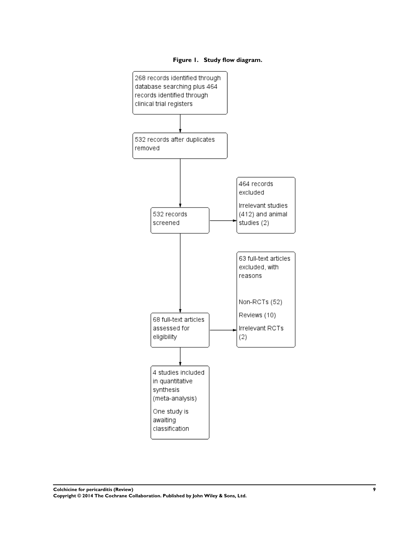

<span id="page-11-0"></span>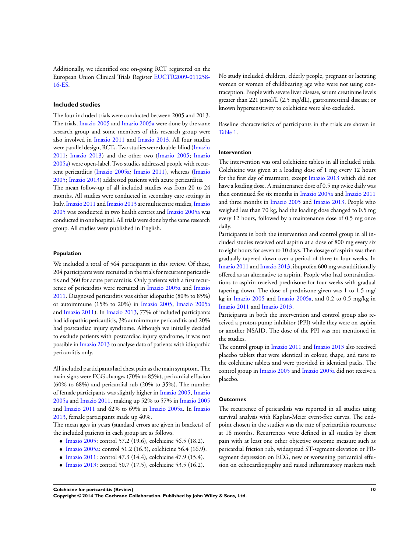Additionally, we identified one on-going RCT registered on the European Union Clinical Trials Register [EUCTR2009-011258-](#page-26-0) [16-ES.](#page-26-0)

#### **Included studies**

The four included trials were conducted between 2005 and 2013. The trials, [Imazio 2005](#page-26-0) and [Imazio 2005a](#page-26-0) were done by the same research group and some members of this research group were also involved in [Imazio 2011](#page-26-0) and [Imazio 2013](#page-26-0). All four studies were parallel design, RCTs. Two studies were double-blind ([Imazio](#page-26-0) [2011](#page-26-0); [Imazio 2013\)](#page-26-0) and the other two ([Imazio 2005](#page-26-0); [Imazio](#page-26-0) [2005a\)](#page-26-0) were open-label. Two studies addressed people with recurrent pericarditis ([Imazio 2005a](#page-26-0); [Imazio 2011](#page-26-0)), whereas [\(Imazio](#page-26-0) [2005](#page-26-0); [Imazio 2013\)](#page-26-0) addressed patients with acute pericarditis.

The mean follow-up of all included studies was from 20 to 24 months. All studies were conducted in secondary care settings in Italy.[Imazio 2011](#page-26-0) and [Imazio 2013](#page-26-0) are multicentre studies,[Imazio](#page-26-0) [2005](#page-26-0) was conducted in two health centres and [Imazio 2005a](#page-26-0) was conducted in one hospital. All trials were done by the same research group. All studies were published in English.

#### **Population**

We included a total of 564 participants in this review. Of these, 204 participants were recruited in the trials for recurrent pericarditis and 360 for acute pericarditis. Only patients with a first recurrence of pericarditis were recruited in [Imazio 2005a](#page-26-0) and [Imazio](#page-26-0) [2011](#page-26-0). Diagnosed pericarditis was either idiopathic (80% to 85%) or autoimmune (15% to 20%) in [Imazio 2005,](#page-26-0) [Imazio 2005a](#page-26-0) and [Imazio 2011](#page-26-0)). In [Imazio 2013,](#page-26-0) 77% of included participants had idiopathic pericarditis, 3% autoimmune pericarditis and 20% had postcardiac injury syndrome. Although we initially decided to exclude patients with postcardiac injury syndrome, it was not possible in [Imazio 2013](#page-26-0) to analyse data of patients with idiopathic pericarditis only.

All included participants had chest pain as the main symptom. The main signs were ECG changes (70% to 85%), pericardial effusion (60% to 68%) and pericardial rub (20% to 35%). The number of female participants was slightly higher in [Imazio 2005](#page-26-0), [Imazio](#page-26-0) [2005a](#page-26-0) and [Imazio 2011,](#page-26-0) making up 52% to 57% in [Imazio 2005](#page-26-0) and [Imazio 2011](#page-26-0) and 62% to 69% in [Imazio 2005a.](#page-26-0) In [Imazio](#page-26-0) [2013](#page-26-0), female participants made up 40%.

The mean ages in years (standard errors are given in brackets) of the included patients in each group are as follows.

- [Imazio 2005](#page-26-0): control 57.2 (19.6), colchicine 56.5 (18.2).
- [Imazio 2005a:](#page-26-0) control 51.2 (16.3), colchicine 56.4 (16.9).
- [Imazio 2011](#page-26-0): control 47.3 (14.4), colchicine 47.9 (15.4).
- [Imazio 2013](#page-26-0): control 50.7 (17.5), colchicine 53.5 (16.2).

No study included children, elderly people, pregnant or lactating women or women of childbearing age who were not using contraception. People with severe liver disease, serum creatinine levels greater than 221 µmol/L (2.5 mg/dL), gastrointestinal disease; or known hypersensitivity to colchicine were also excluded.

Baseline characteristics of participants in the trials are shown in [Table 1.](#page-47-0)

#### **Intervention**

The intervention was oral colchicine tablets in all included trials. Colchicine was given at a loading dose of 1 mg every 12 hours for the first day of treatment, except [Imazio 2013](#page-26-0) which did not have a loading dose. A maintenance dose of 0.5 mg twice daily was then continued for six months in [Imazio 2005a](#page-26-0) and [Imazio 2011](#page-26-0) and three months in [Imazio 2005](#page-26-0) and [Imazio 2013](#page-26-0). People who weighed less than 70 kg, had the loading dose changed to 0.5 mg every 12 hours, followed by a maintenance dose of 0.5 mg once daily.

Participants in both the intervention and control group in all included studies received oral aspirin at a dose of 800 mg every six to eight hours for seven to 10 days. The dosage of aspirin was then gradually tapered down over a period of three to four weeks. In [Imazio 2011](#page-26-0) and [Imazio 2013,](#page-26-0) ibuprofen 600 mg was additionally offered as an alternative to aspirin. People who had contraindications to aspirin received prednisone for four weeks with gradual tapering down. The dose of prednisone given was 1 to 1.5 mg/ kg in [Imazio 2005](#page-26-0) and [Imazio 2005a](#page-26-0), and 0.2 to 0.5 mg/kg in [Imazio 2011](#page-26-0) and [Imazio 2013.](#page-26-0)

Participants in both the intervention and control group also received a proton-pump inhibitor (PPI) while they were on aspirin or another NSAID. The dose of the PPI was not mentioned in the studies.

The control group in [Imazio 2011](#page-26-0) and [Imazio 2013](#page-26-0) also received placebo tablets that were identical in colour, shape, and taste to the colchicine tablets and were provided in identical packs. The control group in [Imazio 2005](#page-26-0) and [Imazio 2005a](#page-26-0) did not receive a placebo.

#### **Outcomes**

The recurrence of pericarditis was reported in all studies using survival analysis with Kaplan-Meier event-free curves. The endpoint chosen in the studies was the rate of pericarditis recurrence at 18 months. Recurrences were defined in all studies by chest pain with at least one other objective outcome measure such as pericardial friction rub, widespread ST-segment elevation or PRsegment depression on ECG, new or worsening pericardial effusion on echocardiography and raised inflammatory markers such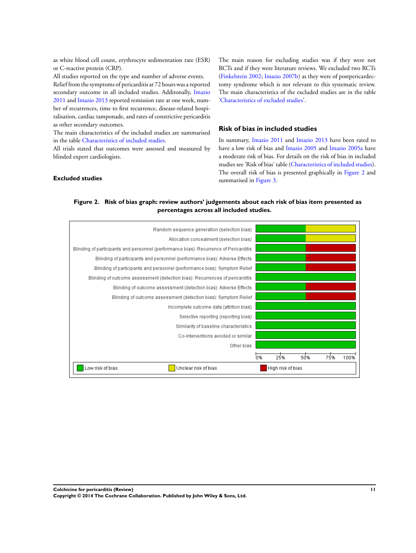as white blood cell count, erythrocyte sedimentation rate (ESR) or C-reactive protein (CRP).

All studies reported on the type and number of adverse events.

Relief from the symptoms of pericarditis at 72 hours was a reported secondary outcome in all included studies. Additonally, [Imazio](#page-26-0) [2011](#page-26-0) and [Imazio 2013](#page-26-0) reported remission rate at one week, number of recurrences, time to first recurrence, disease-related hospitalisation, cardiac tamponade, and rates of constrictive pericarditis as other secondary outcomes.

The main characteristics of the included studies are summarised in the table [Characteristics of included studies](#page-30-0).

All trials stated that outcomes were assessed and measured by blinded expert cardiologists.

The main reason for excluding studies was if they were not RCTs and if they were literature reviews. We excluded two RCTs [\(Finkelstein 2002](#page-26-0); [Imazio 2007b](#page-26-0)) as they were of postpericardectomy syndrome which is not relevant to this systematic review. The main characteristics of the excluded studies are in the table ['Characteristics of excluded studies](#page-37-0)'.

#### **Risk of bias in included studies**

In summary, [Imazio 2011](#page-26-0) and [Imazio 2013](#page-26-0) have been rated to have a low risk of bias and [Imazio 2005](#page-26-0) and [Imazio 2005a](#page-26-0) have a moderate risk of bias. For details on the risk of bias in included studies see 'Risk of bias' table [\(Characteristics of included studies](#page-30-0)). The overall risk of bias is presented graphically in Figure 2 and summarised in [Figure 3](#page-14-0).

#### **Excluded studies**

#### **Figure 2. Risk of bias graph: review authors' judgements about each risk of bias item presented as percentages across all included studies.**

| Random sequence generation (selection bias)                                           |                                 |
|---------------------------------------------------------------------------------------|---------------------------------|
| Allocation concealment (selection bias)                                               |                                 |
| Blinding of participants and personnel (performance bias): Recurrence of Pericarditis |                                 |
| Blinding of participants and personnel (performance bias): Adverse Effects            |                                 |
| Blinding of participants and personnel (performance bias): Symptom Relief             |                                 |
| Blinding of outcome assessment (detection bias): Recurrences of pericarditis          |                                 |
| Blinding of outcome assessment (detection bias): Adverse Effects                      |                                 |
| Blinding of outcome assessment (detection bias): Symptom Relief                       |                                 |
| Incomplete outcome data (attrition bias)                                              |                                 |
| Selective reporting (reporting bias)                                                  |                                 |
| Similarity of baseline characteristics                                                |                                 |
| Co-interventions avoided or similar                                                   |                                 |
| Other bias                                                                            |                                 |
|                                                                                       | 0%<br>25%<br>75%<br>100%<br>50% |
| Low risk of bias<br>Unclear risk of bias                                              | High risk of bias               |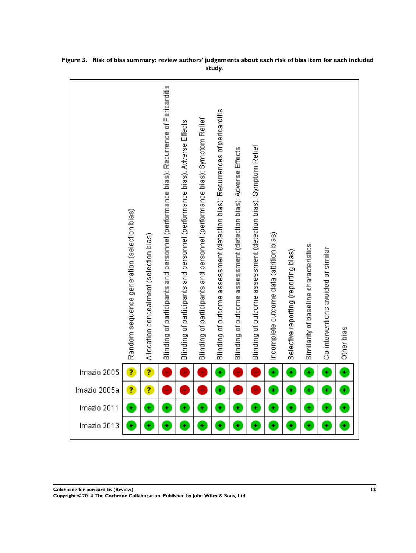|              | Random sequence generation (selection bias) | Allocation concealment (selection bias) | Blinding of participants and personnel (performance bias): Recurrence of Pericarditis | Blinding of participants and personnel (performance bias): Adverse Effects | Blinding of participants and personnel (performance bias): Symptom Relief | Blinding of outcome assessment (detection bias): Recurrences of pericarditis | Blinding of outcome assessment (detection bias): Adverse Effects | Blinding of outcome assessment (detection bias): Symptom Relief | Incomplete outcome data (attrition bias) | Selective reporting (reporting bias) | Similarity of baseline characteristics | Co-interventions avoided or similar | Other bias |
|--------------|---------------------------------------------|-----------------------------------------|---------------------------------------------------------------------------------------|----------------------------------------------------------------------------|---------------------------------------------------------------------------|------------------------------------------------------------------------------|------------------------------------------------------------------|-----------------------------------------------------------------|------------------------------------------|--------------------------------------|----------------------------------------|-------------------------------------|------------|
| Imazio 2005  | Ŧ,                                          | 7                                       |                                                                                       |                                                                            |                                                                           | Ŧ                                                                            |                                                                  |                                                                 | Ŧ                                        | ÷                                    | ¥                                      | Ŧ                                   | t          |
| Imazio 2005a | Ĩ,                                          | ?                                       |                                                                                       |                                                                            |                                                                           | ÷                                                                            |                                                                  |                                                                 | Ŧ                                        | ¥                                    | ¥                                      | Ŧ                                   | Ŧ          |
| Imazio 2011  | ÷                                           | ÷                                       | ÷                                                                                     | ÷                                                                          | ÷                                                                         | $\ddot{}$                                                                    | ÷                                                                | ÷                                                               | ÷                                        | ÷                                    | ÷                                      | ÷                                   | ł          |
| Imazio 2013  | Ŧ                                           | ÷                                       | ÷                                                                                     | ÷                                                                          | ÷                                                                         | ÷                                                                            | ÷                                                                | ÷                                                               | ÷                                        | ÷                                    | ÷                                      | Ŧ                                   | Ŧ          |

<span id="page-14-0"></span>**Figure 3. Risk of bias summary: review authors' judgements about each risk of bias item for each included study.**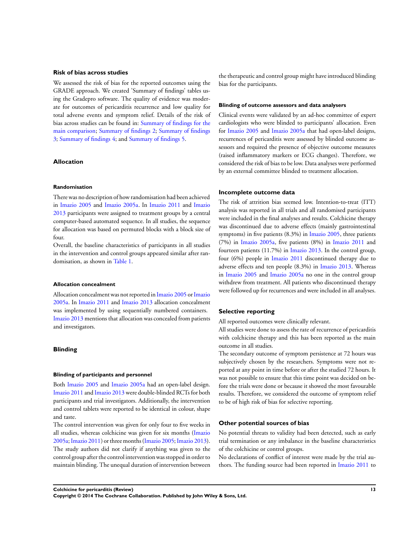#### **Risk of bias across studies**

We assessed the risk of bias for the reported outcomes using the GRADE approach. We created 'Summary of findings' tables using the Gradepro software. The quality of evidence was moderate for outcomes of pericarditis recurrence and low quality for total adverse events and symptom relief. Details of the risk of bias across studies can be found in: [Summary of findings for the](#page-5-0) [main comparison](#page-5-0); [Summary of findings 2;](#page-18-0) [Summary of findings](#page-19-0) [3;](#page-19-0) [Summary of findings 4](#page-21-0); and [Summary of findings 5.](#page-23-0)

#### **Allocation**

#### **Randomisation**

There was no description of how randomisation had been achieved in [Imazio 2005](#page-26-0) and [Imazio 2005a](#page-26-0). In [Imazio 2011](#page-26-0) and [Imazio](#page-26-0) [2013](#page-26-0) participants were assigned to treatment groups by a central computer-based automated sequence. In all studies, the sequence for allocation was based on permuted blocks with a block size of four.

Overall, the baseline characteristics of participants in all studies in the intervention and control groups appeared similar after randomisation, as shown in [Table 1](#page-47-0).

#### **Allocation concealment**

Allocation concealment was not reported in [Imazio 2005](#page-26-0) or [Imazio](#page-26-0) [2005a.](#page-26-0) In [Imazio 2011](#page-26-0) and [Imazio 2013](#page-26-0) allocation concealment was implemented by using sequentially numbered containers. [Imazio 2013](#page-26-0) mentions that allocation was concealed from patients and investigators.

#### **Blinding**

#### **Blinding of participants and personnel**

Both [Imazio 2005](#page-26-0) and [Imazio 2005a](#page-26-0) had an open-label design. [Imazio 2011](#page-26-0) and [Imazio 2013](#page-26-0) were double-blinded RCTs for both participants and trial investigators. Additionally, the intervention and control tablets were reported to be identical in colour, shape and taste.

The control intervention was given for only four to five weeks in all studies, whereas colchicine was given for six months [\(Imazio](#page-26-0) [2005a;Imazio 2011](#page-26-0)) or three months ([Imazio 2005;Imazio 2013](#page-26-0)). The study authors did not clarify if anything was given to the control group after the control intervention was stopped in order to maintain blinding. The unequal duration of intervention between

the therapeutic and control group might have introduced blinding bias for the participants.

#### **Blinding of outcome assessors and data analysers**

Clinical events were validated by an ad-hoc committee of expert cardiologists who were blinded to participants' allocation. Even for [Imazio 2005](#page-26-0) and [Imazio 2005a](#page-26-0) that had open-label designs, recurrences of pericarditis were assessed by blinded outcome assessors and required the presence of objective outcome measures (raised inflammatory markers or ECG changes). Therefore, we considered the risk of bias to be low. Data analyses were performed by an external committee blinded to treatment allocation.

#### **Incomplete outcome data**

The risk of attrition bias seemed low. Intention-to-treat (ITT) analysis was reported in all trials and all randomised participants were included in the final analyses and results. Colchicine therapy was discontinued due to adverse effects (mainly gastrointestinal symptoms) in five patients  $(8.3\%)$  in [Imazio 2005,](#page-26-0) three patients (7%) in [Imazio 2005a,](#page-26-0) five patients (8%) in [Imazio 2011](#page-26-0) and fourteen patients (11.7%) in [Imazio 2013.](#page-26-0) In the control group, four (6%) people in [Imazio 2011](#page-26-0) discontinued therapy due to adverse effects and ten people (8.3%) in [Imazio 2013](#page-26-0). Whereas in [Imazio 2005](#page-26-0) and [Imazio 2005a](#page-26-0) no one in the control group withdrew from treatment. All patients who discontinued therapy were followed up for recurrences and were included in all analyses.

#### **Selective reporting**

All reported outcomes were clinically relevant.

All studies were done to assess the rate of recurrence of pericarditis with colchicine therapy and this has been reported as the main outcome in all studies.

The secondary outcome of symptom persistence at 72 hours was subjectively chosen by the researchers. Symptoms were not reported at any point in time before or after the studied 72 hours. It was not possible to ensure that this time point was decided on before the trials were done or because it showed the most favourable results. Therefore, we considered the outcome of symptom relief to be of high risk of bias for selective reporting.

#### **Other potential sources of bias**

No potential threats to validity had been detected, such as early trial termination or any imbalance in the baseline characteristics of the colchicine or control groups.

No declarations of conflict of interest were made by the trial authors. The funding source had been reported in [Imazio 2011](#page-26-0) to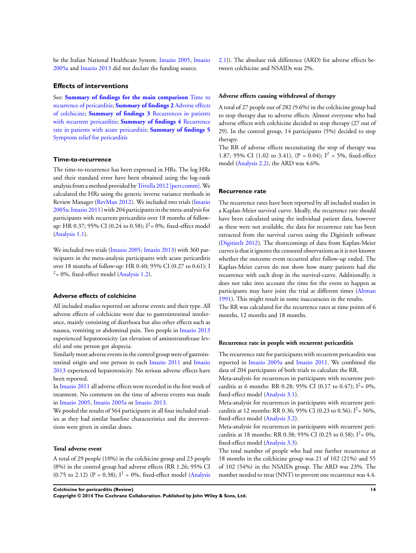be the Italian National Healthcare System. [Imazio 2005,](#page-26-0) [Imazio](#page-26-0) [2005a](#page-26-0) and [Imazio 2013](#page-26-0) did not declare the funding source.

#### **Effects of interventions**

See: **[Summary of findings for the main comparison](#page-5-0)** [Time to](#page-5-0) [recurrence of pericarditis](#page-5-0); **[Summary of findings 2](#page-18-0)** [Adverse effects](#page-18-0) [of colchicine](#page-18-0); **[Summary of findings 3](#page-19-0)** [Recurrences in patients](#page-19-0) [with recurrent pericarditis;](#page-19-0) **[Summary of findings 4](#page-21-0)** [Recurrence](#page-21-0) [rate in patients with acute pericarditis;](#page-21-0) **[Summary of findings 5](#page-23-0)** [Symptom relief for pericarditis](#page-23-0)

#### **Time-to-recurrence**

The time-to-recurrence has been expressed in HRs. The log HRs and their standard error have been obtained using the log-rank analysis from a method provided by [Trivella 2012 \[pers comm\]](#page-26-0). We calculated the HRs using the generic inverse variance methods in Review Manager ([RevMan 2012](#page-26-0)). We included two trials [\(Imazio](#page-26-0) [2005a;Imazio 2011](#page-26-0)) with 204 participants in the meta-analysis for participants with recurrent pericarditis over 18 months of followup: HR 0.37; 95% CI (0.24 to 0.58);  $I^2 = 0\%$ , fixed-effect model [\(Analysis 1.1\)](#page-41-0).

We included two trials [\(Imazio 2005;](#page-26-0) [Imazio 2013](#page-26-0)) with 360 participants in the meta-analysis participants with acute pericarditis over 18 months of follow-up: HR 0.40; 95% CI (0.27 to 0.61); I  $2 = 0\%$ , fixed-effect model ([Analysis 1.2](#page-42-0)).

#### **Adverse effects of colchicine**

All included studies reported on adverse events and their type. All adverse effects of colchicine were due to gastrointestinal intolerance, mainly consisting of diarrhoea but also other effects such as nausea, vomiting or abdominal pain. Two people in [Imazio 2013](#page-26-0) experienced hepatotoxicity (an elevation of aminotransferase levels) and one person got alopecia.

Similarly most adverse events in the control group were of gastrointestinal origin and one person in each [Imazio 2011](#page-26-0) and [Imazio](#page-26-0) [2013](#page-26-0) experienced hepatotoxicity. No serious adverse effects have been reported.

In [Imazio 2011](#page-26-0) all adverse effects were recorded in the first week of treatment. No comment on the time of adverse events was made in [Imazio 2005](#page-26-0), [Imazio 2005a](#page-26-0) or [Imazio 2013](#page-26-0).

We pooled the results of 564 participants in all four included studies as they had similar baseline characteristics and the interventions were given in similar doses.

#### **Total adverse event**

A total of 29 people (10%) in the colchicine group and 23 people (8%) in the control group had adverse effects (RR 1.26; 95% CI (0.75 to 2.12) (P = 0.38);  $I^2 = 0\%$ , fixed-effect model ([Analysis](#page-42-0) [2.1](#page-42-0))). The absolute risk difference (ARD) for adverse effects between colchicine and NSAIDs was 2%.

#### **Adverse effects causing withdrawal of therapy**

A total of 27 people out of 282 (9.6%) in the colchicine group had to stop therapy due to adverse effects. Almost everyone who had adverse effects with colchicine decided to stop therapy (27 out of 29). In the control group, 14 participants (5%) decided to stop therapy.

The RR of adverse effects necessitating the stop of therapy was 1.87; 95% CI (1.02 to 3.41), (P = 0.04);  $I^2 = 5\%$ , fixed-effect model [\(Analysis 2.2\)](#page-43-0), the ARD was 4.6%.

#### **Recurrence rate**

The recurrence rates have been reported by all included studies in a Kaplan-Meier survival curve. Ideally, the recurrence rate should have been calculated using the individual patient data, however as these were not available, the data for recurrence rate has been extracted from the survival curves using the DigitizeIt software [\(DigitizeIt 2012](#page-26-0)). The shortcomings of data from Kaplan-Meier curves is that it ignores the censored observations as it is not known whether the outcome event occurred after follow-up ended. The Kaplan-Meier curves do not show how many patients had the recurrence with each drop in the survival-curve. Additionally, it does not take into account the time for the event to happen as participants may have joint the trial at different times [\(Altman](#page-26-0) [1991](#page-26-0)). This might result in some inaccuracies in the results.

The RR was calculated for the recurrence rates at time points of 6 months, 12 months and 18 months.

#### **Recurrence rate in people with recurrent pericarditis**

The recurrence rate for participants with recurrent pericarditis was reported in [Imazio 2005a](#page-26-0) and [Imazio 2011](#page-26-0). We combined the data of 204 participants of both trials to calculate the RR.

Meta-analysis for recurrences in participants with recurrent pericarditis at 6 months: RR 0.28; 95% CI (0.17 to 0.47);  $I^2 = 0\%$ , fixed-effect model ([Analysis 3.1](#page-44-0)).

Meta-analysis for recurrences in participants with recurrent pericarditis at 12 months: RR 0.36; 95% CI (0.23 to 0.56);  $I^2 = 56\%$ , fixed-effect model ([Analysis 3.2](#page-44-0)).

Meta-analysis for recurrences in participants with recurrent pericarditis at 18 months: RR 0.38; 95% CI (0.25 to 0.58);  $I^2 = 0\%$ , fixed-effect model ([Analysis 3.3](#page-44-0)).

The total number of people who had one further recurrence at 18 months in the colchicine group was 21 of 102 (21%) and 55 of 102 (54%) in the NSAIDs group. The ARD was 23%. The number needed to treat (NNT) to prevent one recurrence was 4.4.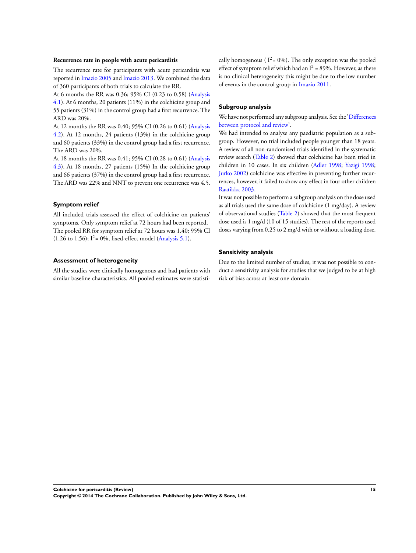#### **Recurrence rate in people with acute pericarditis**

The recurrence rate for participants with acute pericarditis was reported in [Imazio 2005](#page-26-0) and [Imazio 2013.](#page-26-0) We combined the data of 360 participants of both trials to calculate the RR.

At 6 months the RR was 0.36; 95% CI (0.23 to 0.58) ([Analysis](#page-45-0) [4.1](#page-45-0)). At 6 months, 20 patients (11%) in the colchicine group and 55 patients (31%) in the control group had a first recurrence. The ARD was 20%.

At 12 months the RR was 0.40; 95% CI (0.26 to 0.61) ([Analysis](#page-45-0) [4.2](#page-45-0)). At 12 months, 24 patients (13%) in the colchicine group and 60 patients (33%) in the control group had a first recurrence. The ARD was 20%.

At 18 months the RR was 0.41; 95% CI (0.28 to 0.61) ([Analysis](#page-46-0) [4.3](#page-46-0)). At 18 months, 27 patients (15%) In the colchicine group and 66 patients (37%) in the control group had a first recurrence. The ARD was 22% and NNT to prevent one recurrence was 4.5.

#### **Symptom relief**

All included trials assessed the effect of colchicine on patients' symptoms. Only symptom relief at 72 hours had been reported. The pooled RR for symptom relief at 72 hours was 1.40; 95% CI  $(1.26 \text{ to } 1.56);$   $I^2 = 0\%$ , fixed-effect model [\(Analysis 5.1\)](#page-46-0).

#### **Assessment of heterogeneity**

All the studies were clinically homogenous and had patients with similar baseline characteristics. All pooled estimates were statistically homogenous ( $I^2 = 0\%$ ). The only exception was the pooled effect of symptom relief which had an  $I^2 = 89\%$ . However, as there is no clinical heterogeneity this might be due to the low number of events in the control group in [Imazio 2011.](#page-26-0)

#### **Subgroup analysis**

We have not performed any subgroup analysis. See the ['Differences](#page-55-0)' [between protocol and review'](#page-55-0).

We had intended to analyse any paediatric population as a subgroup. However, no trial included people younger than 18 years. A review of all non-randomised trials identified in the systematic review search ([Table 2](#page-48-0)) showed that colchicine has been tried in children in 10 cases. In six children [\(Adler 1998;](#page-26-0) [Yazigi 1998;](#page-26-0) [Jurko 2002\)](#page-26-0) colchicine was effective in preventing further recurrences, however, it failed to show any effect in four other children [Raatikka 2003.](#page-26-0)

It was not possible to perform a subgroup analysis on the dose used as all trials used the same dose of colchicine (1 mg/day). A review of observational studies [\(Table 2](#page-48-0)) showed that the most frequent dose used is 1 mg/d (10 of 15 studies). The rest of the reports used doses varying from 0.25 to 2 mg/d with or without a loading dose.

#### **Sensitivity analysis**

Due to the limited number of studies, it was not possible to conduct a sensitivity analysis for studies that we judged to be at high risk of bias across at least one domain.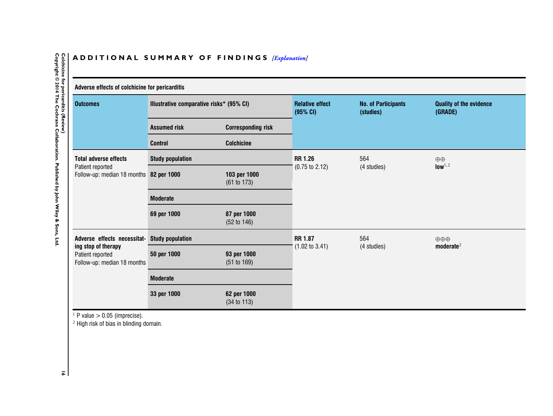#### ADDITIONAL SUMMARY OF FINDINGS *[\[Explanation\]](http://www.thecochranelibrary.com/view/0/SummaryFindings.html)*

<span id="page-18-0"></span>

**16**

| Adverse effects of colchicine for pericarditis                                              |                                          |                             |                                    |                                         |                                           |  |  |
|---------------------------------------------------------------------------------------------|------------------------------------------|-----------------------------|------------------------------------|-----------------------------------------|-------------------------------------------|--|--|
| <b>Outcomes</b>                                                                             | Illustrative comparative risks* (95% CI) |                             | <b>Relative effect</b><br>(95% CI) | <b>No. of Participants</b><br>(studies) | <b>Quality of the evidence</b><br>(GRADE) |  |  |
|                                                                                             | <b>Assumed risk</b>                      | <b>Corresponding risk</b>   |                                    |                                         |                                           |  |  |
|                                                                                             | <b>Control</b>                           | <b>Colchicine</b>           |                                    |                                         |                                           |  |  |
| <b>Total adverse effects</b><br>Patient reported<br>Follow-up: median 18 months 82 per 1000 | <b>Study population</b>                  |                             | <b>RR 1.26</b>                     | 564                                     | $\oplus$<br>low <sup>1,2</sup>            |  |  |
|                                                                                             |                                          | 103 per 1000<br>(61 to 173) | $(0.75 \text{ to } 2.12)$          | (4 studies)                             |                                           |  |  |
|                                                                                             | <b>Moderate</b>                          |                             |                                    |                                         |                                           |  |  |
|                                                                                             | 69 per 1000                              | 87 per 1000<br>(52 to 146)  |                                    |                                         |                                           |  |  |
| Adverse effects necessitat-                                                                 | <b>Study population</b>                  |                             | <b>RR 1.87</b>                     | 564<br>(4 studies)                      | $\oplus \oplus \oplus$                    |  |  |
| ing stop of therapy<br>Patient reported<br>Follow-up: median 18 months                      | 50 per 1000                              | 93 per 1000<br>(51 to 169)  | $(1.02 \text{ to } 3.41)$          |                                         | moderate <sup>2</sup>                     |  |  |
|                                                                                             | <b>Moderate</b>                          |                             |                                    |                                         |                                           |  |  |
|                                                                                             | 33 per 1000                              | 62 per 1000<br>(34 to 113)  |                                    |                                         |                                           |  |  |

<sup>1</sup> P value  $> 0.05$  (imprecise).<br><sup>2</sup> High risk of bias in blinding domain.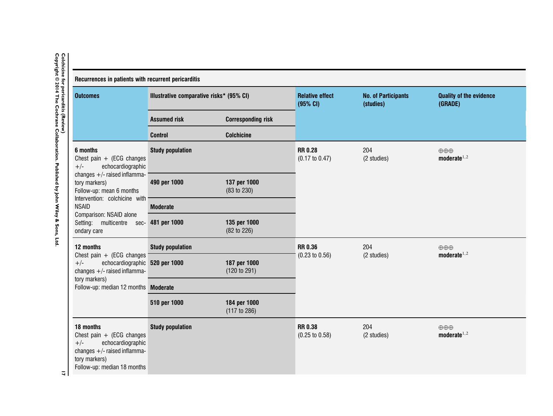| Recurrences in patients with recurrent pericarditis                                                                                                                                                                                                                                       |                                |                                          |                                            |                                         |                                                   |  |  |  |  |
|-------------------------------------------------------------------------------------------------------------------------------------------------------------------------------------------------------------------------------------------------------------------------------------------|--------------------------------|------------------------------------------|--------------------------------------------|-----------------------------------------|---------------------------------------------------|--|--|--|--|
| <b>Outcomes</b>                                                                                                                                                                                                                                                                           |                                | Illustrative comparative risks* (95% CI) |                                            | <b>No. of Participants</b><br>(studies) | <b>Quality of the evidence</b><br>(GRADE)         |  |  |  |  |
|                                                                                                                                                                                                                                                                                           | <b>Assumed risk</b>            | <b>Corresponding risk</b>                |                                            |                                         |                                                   |  |  |  |  |
|                                                                                                                                                                                                                                                                                           | <b>Control</b>                 | <b>Colchicine</b>                        |                                            |                                         |                                                   |  |  |  |  |
| 6 months<br>Chest pain $+$ (ECG changes<br>echocardiographic<br>$+/-$<br>changes $+/-$ raised inflamma-<br>tory markers)<br>Follow-up: mean 6 months<br>Intervention: colchicine with<br><b>NSAID</b><br>Comparison: NSAID alone<br>Setting: multicentre sec- 481 per 1000<br>ondary care | <b>Study population</b>        |                                          |                                            | 204<br>(2 studies)                      | $\oplus \oplus \oplus$<br>moderate $1,2$          |  |  |  |  |
|                                                                                                                                                                                                                                                                                           | 490 per 1000                   | 137 per 1000<br>(83 to 230)              |                                            |                                         |                                                   |  |  |  |  |
|                                                                                                                                                                                                                                                                                           | <b>Moderate</b>                |                                          |                                            |                                         |                                                   |  |  |  |  |
|                                                                                                                                                                                                                                                                                           |                                | 135 per 1000<br>(82 to 226)              |                                            |                                         |                                                   |  |  |  |  |
| 12 months                                                                                                                                                                                                                                                                                 | <b>Study population</b>        |                                          |                                            | 204                                     | $\oplus \oplus \oplus$<br>moderate <sup>1,2</sup> |  |  |  |  |
| Chest pain $+$ (ECG changes<br>$+/-$<br>changes $+/-$ raised inflamma-<br>tory markers)                                                                                                                                                                                                   | echocardiographic 520 per 1000 | 187 per 1000<br>(120 to 291)             | $(0.23 \text{ to } 0.56)$                  | (2 studies)                             |                                                   |  |  |  |  |
| Follow-up: median 12 months Moderate                                                                                                                                                                                                                                                      |                                |                                          |                                            |                                         |                                                   |  |  |  |  |
|                                                                                                                                                                                                                                                                                           | 510 per 1000                   | 184 per 1000<br>(117 to 286)             |                                            |                                         |                                                   |  |  |  |  |
| 18 months<br>Chest pain $+$ (ECG changes<br>echocardiographic<br>$+/-$<br>changes $+/-$ raised inflamma-<br>tory markers)<br>Follow-up: median 18 months                                                                                                                                  | <b>Study population</b>        |                                          | <b>RR0.38</b><br>$(0.25 \text{ to } 0.58)$ | 204<br>(2 studies)                      | $\oplus \oplus \oplus$<br>moderate <sup>1,2</sup> |  |  |  |  |

# <span id="page-19-0"></span>Colchicine for pericarditis (Review)<br>Copyright © 2014 The Cochrane Collaboration. Published by John Wiley & Sons, Ltd. **Copyright © 2014 The Cochrane Collaboration. Published by J Colchicine for pericarditis (Review) ohn Wiley & Sons, Ltd.**

**17**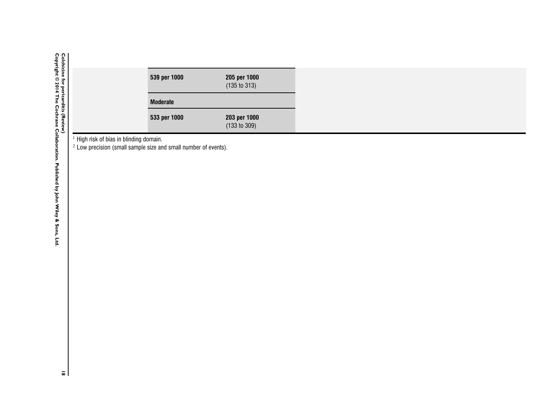|  | 539 per 1000    | 205 per 1000 |
|--|-----------------|--------------|
|  |                 | (135 to 313) |
|  | <b>Moderate</b> |              |
|  | 533 per 1000    | 203 per 1000 |
|  |                 | (133 to 309) |

 $^1$  High risk of bias in blinding domain.<br><sup>2</sup> Low precision (small sample size and small number of events).

Colchicine for pericarditis (Review)<br>Copyright © 2014 The Cochrane Collaboration. Published by John Wiley & Sons, Ltd. **Copyright © 2014 The Cochrane Collaboration. Published by J Colchicine for pericarditis (Review) ohn Wiley & Sons, Ltd.**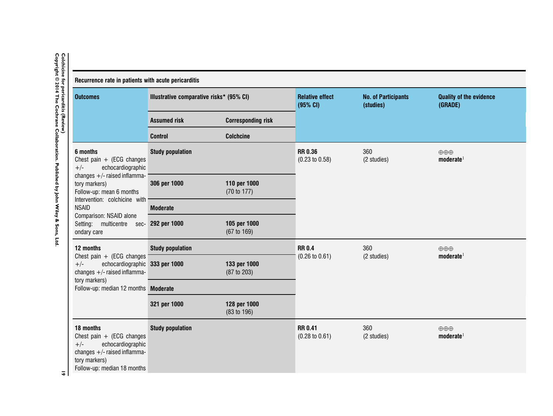<span id="page-21-0"></span>

| <b>Outcomes</b>                                                                                                                                                                                                                                                                           | Illustrative comparative risks* (95% CI) |                                        | <b>Relative effect</b><br>(95% CI)          | <b>No. of Participants</b><br>(studies) | <b>Quality of the evidence</b><br>(GRADE)     |  |
|-------------------------------------------------------------------------------------------------------------------------------------------------------------------------------------------------------------------------------------------------------------------------------------------|------------------------------------------|----------------------------------------|---------------------------------------------|-----------------------------------------|-----------------------------------------------|--|
|                                                                                                                                                                                                                                                                                           | <b>Assumed risk</b>                      | <b>Corresponding risk</b>              |                                             |                                         |                                               |  |
|                                                                                                                                                                                                                                                                                           | <b>Control</b>                           | <b>Colchcine</b>                       |                                             |                                         |                                               |  |
| 6 months<br>Chest pain $+$ (ECG changes<br>echocardiographic<br>$+/-$<br>changes $+/-$ raised inflamma-<br>tory markers)<br>Follow-up: mean 6 months<br>Intervention: colchicine with<br><b>NSAID</b><br>Comparison: NSAID alone<br>Setting: multicentre sec- 292 per 1000<br>ondary care | <b>Study population</b>                  |                                        | <b>RR 0.36</b><br>$(0.23 \text{ to } 0.58)$ | 360<br>(2 studies)                      | $\oplus \oplus \oplus$<br>$\text{moderate}^1$ |  |
|                                                                                                                                                                                                                                                                                           | 306 per 1000                             | 110 per 1000<br>(70 to 177)            |                                             |                                         |                                               |  |
|                                                                                                                                                                                                                                                                                           | <b>Moderate</b>                          |                                        |                                             |                                         |                                               |  |
|                                                                                                                                                                                                                                                                                           |                                          | 105 per 1000<br>$(67 \text{ to } 169)$ |                                             |                                         |                                               |  |
| 12 months                                                                                                                                                                                                                                                                                 | <b>Study population</b>                  |                                        | <b>RR0.4</b>                                | 360                                     | $\oplus \oplus \oplus$                        |  |
| Chest pain $+$ (ECG changes<br>echocardiographic 333 per 1000<br>$+/-$<br>changes $+/-$ raised inflamma-                                                                                                                                                                                  |                                          | 133 per 1000<br>(87 to 203)            | $(0.26 \text{ to } 0.61)$                   | (2 studies)                             | $\text{moderate}^1$                           |  |
| tory markers)<br>Follow-up: median 12 months Moderate                                                                                                                                                                                                                                     |                                          |                                        |                                             |                                         |                                               |  |
|                                                                                                                                                                                                                                                                                           | 321 per 1000                             | 128 per 1000<br>(83 to 196)            |                                             |                                         |                                               |  |
| 18 months<br>Chest pain $+$ (ECG changes<br>echocardiographic<br>$+/-$<br>changes $+/-$ raised inflamma-<br>tory markers)<br>Follow-up: median 18 months                                                                                                                                  | <b>Study population</b>                  |                                        | <b>RR 0.41</b><br>$(0.28 \text{ to } 0.61)$ | 360<br>(2 studies)                      | $\oplus \oplus \oplus$<br>$\text{moderate}^1$ |  |

# **Colchicine for pericarditis (Review)**

**19**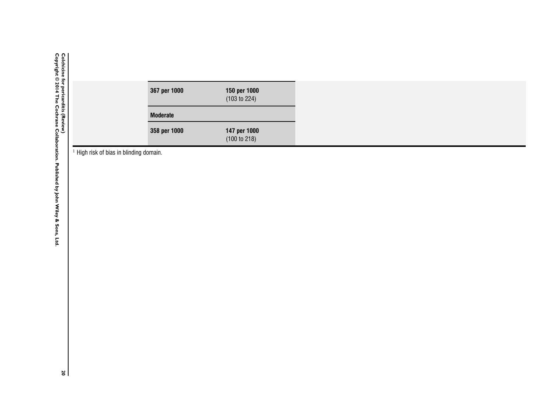$<sup>1</sup>$  High risk of bias in blinding domain.</sup>

Colchicine for pericarditis (Review)<br>Copyright © 2014 The Cochrane Collaboration. Published by John Wiley & Sons, Ltd. **Copyright © 2014 The Cochrane Collaboration. Published by J Colchicine for pericarditis (Review) ohn Wiley & Sons, Ltd.**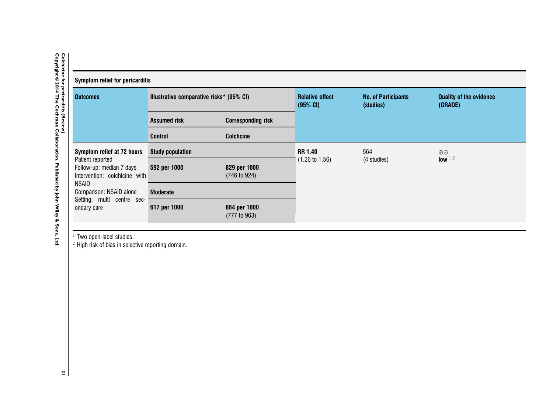<span id="page-23-0"></span>

| <b>Colchicine</b><br>ġ<br><b>Symptom relief for pericarditis</b><br>pericarditis |                                          |                                                             |                                    |                                         |                                           |  |  |  |  |
|----------------------------------------------------------------------------------|------------------------------------------|-------------------------------------------------------------|------------------------------------|-----------------------------------------|-------------------------------------------|--|--|--|--|
| <b>Outcomes</b>                                                                  | Illustrative comparative risks* (95% CI) |                                                             | <b>Relative effect</b><br>(95% CI) | <b>No. of Participants</b><br>(studies) | <b>Quality of the evidence</b><br>(GRADE) |  |  |  |  |
|                                                                                  | <b>Assumed risk</b>                      | <b>Corresponding risk</b>                                   |                                    |                                         |                                           |  |  |  |  |
|                                                                                  | <b>Control</b>                           | <b>Colchcine</b>                                            |                                    |                                         |                                           |  |  |  |  |
| Symptom relief at 72 hours                                                       | <b>Study population</b>                  |                                                             | <b>RR 1.40</b>                     | 564                                     | $\oplus$<br>low <sup>1,2</sup>            |  |  |  |  |
| Follow-up: median 7 days                                                         | 592 per 1000                             | 829 per 1000<br>(746 to 924)                                |                                    |                                         |                                           |  |  |  |  |
| Comparison: NSAID alone                                                          | <b>Moderate</b>                          |                                                             |                                    |                                         |                                           |  |  |  |  |
| ondary care                                                                      | 617 per 1000                             | 864 per 1000<br>(777 t0 963)                                |                                    |                                         |                                           |  |  |  |  |
|                                                                                  | Patient reported<br>NSAID                | Intervention: colchicine with<br>Setting: multi centre sec- |                                    | $(1.26 \text{ to } 1.56)$               | (4 studies)                               |  |  |  |  |

<sup>1</sup> Two open-label studies.<br><sup>2</sup> High risk of bias in selective reporting domain.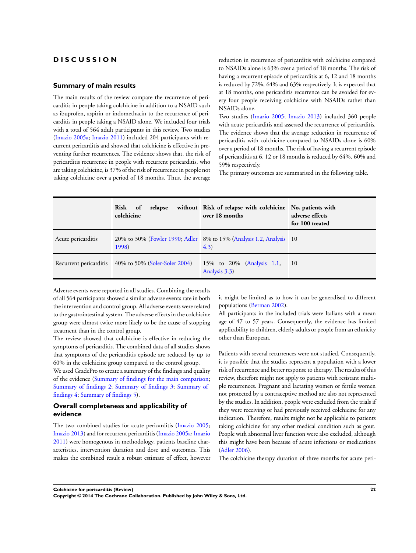#### <span id="page-24-0"></span>**D I S C U S S I O N**

#### **Summary of main results**

The main results of the review compare the recurrence of pericarditis in people taking colchicine in addition to a NSAID such as ibuprofen, aspirin or indomethacin to the recurrence of pericarditis in people taking a NSAID alone. We included four trials with a total of 564 adult participants in this review. Two studies [\(Imazio 2005a;](#page-26-0) [Imazio 2011](#page-26-0)) included 204 participants with recurrent pericarditis and showed that colchicine is effective in preventing further recurrences. The evidence shows that, the risk of pericarditis recurrence in people with recurrent pericarditis, who are taking colchicine, is 37% of the risk of recurrence in people not taking colchicine over a period of 18 months. Thus, the average

reduction in recurrence of pericarditis with colchicine compared to NSAIDs alone is 63% over a period of 18 months. The risk of having a recurrent episode of pericarditis at 6, 12 and 18 months is reduced by 72%, 64% and 63% respectively. It is expected that at 18 months, one pericarditis recurrence can be avoided for every four people receiving colchicine with NSAIDs rather than NSAIDs alone.

Two studies ([Imazio 2005](#page-26-0); [Imazio 2013](#page-26-0)) included 360 people with acute pericarditis and assessed the recurrence of pericarditis. The evidence shows that the average reduction in recurrence of pericarditis with colchicine compared to NSAIDs alone is 60% over a period of 18 months. The risk of having a recurrent episode of pericarditis at 6, 12 or 18 months is reduced by 64%, 60% and 59% respectively.

The primary outcomes are summarised in the following table.

|                    | Risk of<br>relapse<br>colchicine                     | without Risk of relapse with colchicine No. patients with<br>over 18 months  | adverse effects<br>for 100 treated |
|--------------------|------------------------------------------------------|------------------------------------------------------------------------------|------------------------------------|
| Acute pericarditis | 1998)                                                | 20% to 30% (Fowler 1990; Adler 8% to 15% (Analysis 1.2, Analysis 10<br>(4.3) |                                    |
|                    | Recurrent pericarditis 40% to 50% (Soler-Soler 2004) | 15% to 20% (Analysis 1.1,<br>Analysis 3.3)                                   | <sup>10</sup>                      |

Adverse events were reported in all studies. Combining the results of all 564 participants showed a similar adverse events rate in both the intervention and control group. All adverse events were related to the gastrointestinal system. The adverse effects in the colchicine group were almost twice more likely to be the cause of stopping treatment than in the control group.

The review showed that colchicine is effective in reducing the symptoms of pericarditis. The combined data of all studies shows that symptoms of the pericarditis episode are reduced by up to 60% in the colchicine group compared to the control group.

We used GradePro to create a summary of the findings and quality of the evidence ([Summary of findings for the main comparison;](#page-5-0) [Summary of findings 2](#page-18-0); [Summary of findings 3](#page-19-0); [Summary of](#page-21-0) [findings 4;](#page-21-0) [Summary of findings 5](#page-23-0)).

#### **Overall completeness and applicability of evidence**

The two combined studies for acute pericarditis ([Imazio 2005;](#page-26-0) [Imazio 2013\)](#page-26-0) and for recurrent pericarditis ([Imazio 2005a;](#page-26-0) [Imazio](#page-26-0) [2011](#page-26-0)) were homogenous in methodology, patients baseline characteristics, intervention duration and dose and outcomes. This makes the combined result a robust estimate of effect, however it might be limited as to how it can be generalised to different populations [\(Berman 2002](#page-26-0)).

All participants in the included trials were Italians with a mean age of 47 to 57 years. Consequently, the evidence has limited applicability to children, elderly adults or people from an ethnicity other than European.

Patients with several recurrences were not studied. Consequently, it is possible that the studies represent a population with a lower risk of recurrence and better response to therapy. The results of this review, therefore might not apply to patients with resistant multiple recurrences. Pregnant and lactating women or fertile women not protected by a contraceptive method are also not represented by the studies. In addition, people were excluded from the trials if they were receiving or had previously received colchicine for any indication. Therefore, results might not be applicable to patients taking colchicine for any other medical condition such as gout. People with abnormal liver function were also excluded, although this might have been because of acute infections or medications [\(Adler 2006](#page-26-0)).

The colchicine therapy duration of three months for acute peri-

**Colchicine for pericarditis (Review) 22**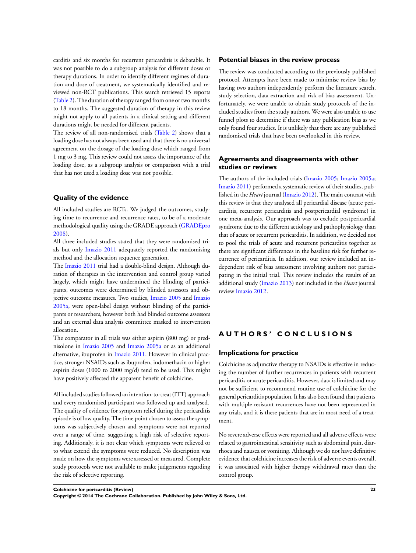carditis and six months for recurrent pericarditis is debatable. It was not possible to do a subgroup analysis for different doses or therapy durations. In order to identify different regimes of duration and dose of treatment, we systematically identified and reviewed non-RCT publications. This search retrieved 15 reports [\(Table 2\)](#page-48-0). The duration of therapy ranged from one or two months to 18 months. The suggested duration of therapy in this review might not apply to all patients in a clinical setting and different durations might be needed for different patients.

The review of all non-randomised trials [\(Table 2\)](#page-48-0) shows that a loading dose has not always been used and that there is no universal agreement on the dosage of the loading dose which ranged from 1 mg to 3 mg. This review could not assess the importance of the loading dose, as a subgroup analysis or comparison with a trial that has not used a loading dose was not possible.

#### **Quality of the evidence**

All included studies are RCTs. We judged the outcomes, studying time to recurrence and recurrence rates, to be of a moderate methodological quality using the GRADE approach [\(GRADEpro](#page-26-0) [2008](#page-26-0)).

All three included studies stated that they were randomised trials but only [Imazio 2011](#page-26-0) adequately reported the randomising method and the allocation sequence generation.

The [Imazio 2011](#page-26-0) trial had a double-blind design. Although duration of therapies in the intervention and control group varied largely, which might have undermined the blinding of participants, outcomes were determined by blinded assessors and objective outcome measures. Two studies, [Imazio 2005](#page-26-0) and [Imazio](#page-26-0) [2005a,](#page-26-0) were open-label design without blinding of the participants or researchers, however both had blinded outcome assessors and an external data analysis committee masked to intervention allocation.

The comparator in all trials was either aspirin (800 mg) or prednisolone in [Imazio 2005](#page-26-0) and [Imazio 2005a](#page-26-0) or as an additional alternative, ibuprofen in [Imazio 2011.](#page-26-0) However in clinical practice, stronger NSAIDs such as ibuprofen, indomethacin or higher aspirin doses (1000 to 2000 mg/d) tend to be used. This might have positively affected the apparent benefit of colchicine.

All included studies followed an intention-to-treat (ITT) approach and every randomised participant was followed up and analysed. The quality of evidence for symptom relief during the pericarditis episode is of low quality. The time point chosen to assess the symptoms was subjectively chosen and symptoms were not reported over a range of time, suggesting a high risk of selective reporting. Additionaly, it is not clear which symptoms were relieved or to what extend the symptoms were reduced. No description was made on how the symptoms were assessed or measured. Complete study protocols were not available to make judgements regarding the risk of selective reporting.

#### **Potential biases in the review process**

The review was conducted according to the previously published protocol. Attempts have been made to minimise review bias by having two authors independently perform the literature search, study selection, data extraction and risk of bias assessment. Unfortunately, we were unable to obtain study protocols of the included studies from the study authors. We were also unable to use funnel plots to determine if there was any publication bias as we only found four studies. It is unlikely that there are any published randomised trials that have been overlooked in this review.

#### **Agreements and disagreements with other studies or reviews**

The authors of the included trials [\(Imazio 2005;](#page-26-0) [Imazio 2005a;](#page-26-0) [Imazio 2011\)](#page-26-0) performed a systematic review of their studies, published in the *Heart* journal [\(Imazio 2012\)](#page-26-0). The main contrast with this review is that they analysed all pericardial disease (acute pericarditis, recurrent pericarditis and postpericardial syndrome) in one meta-analysis. Our approach was to exclude postpericardial syndrome due to the different aetiology and pathophysiology than that of acute or recurrent pericarditis. In addition, we decided not to pool the trials of acute and recurrent pericarditis together as there are significant differences in the baseline risk for further recurrence of pericarditis. In addition, our review included an independent risk of bias assessment involving authors not participating in the initial trial. This review includes the results of an additional study [\(Imazio 2013](#page-26-0)) not included in the *Heart* journal review [Imazio 2012.](#page-26-0)

#### **A U T H O R S ' C O N C L U S I O N S**

#### **Implications for practice**

Colchicine as adjunctive therapy to NSAIDs is effective in reducing the number of further recurrences in patients with recurrent pericarditis or acute pericarditis. However, data is limited and may not be sufficient to recommend routine use of colchicine for the general pericarditis population. It has also been found that patients with multiple resistant recurrences have not been represented in any trials, and it is these patients that are in most need of a treatment.

No severe adverse effects were reported and all adverse effects were related to gastrointestinal sensitivity such as abdominal pain, diarrhoea and nausea or vomiting. Although we do not have definitive evidence that colchicine increases the risk of adverse events overall, it was associated with higher therapy withdrawal rates than the control group.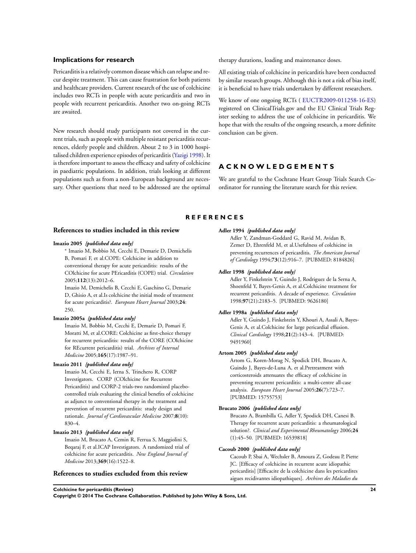#### <span id="page-26-0"></span>**Implications for research**

Pericarditis is a relatively common disease which can relapse and recur despite treatment. This can cause frustration for both patients and healthcare providers. Current research of the use of colchicine includes two RCTs in people with acute pericarditis and two in people with recurrent pericarditis. Another two on-going RCTs are awaited.

New research should study participants not covered in the current trials, such as people with multiple resistant pericarditis recurrences, elderly people and children. About 2 to 3 in 1000 hospitalised children experience episodes of pericarditis (Yazigi 1998). It is therefore important to assess the efficacy and safety of colchicine in paediatric populations. In addition, trials looking at different populations such as from a non-European background are necessary. Other questions that need to be addressed are the optimal

therapy durations, loading and maintenance doses.

All existing trials of colchicine in pericarditis have been conducted by similar research groups. Although this is not a risk of bias itself, it is beneficial to have trials undertaken by different researchers.

We know of one ongoing RCTs (EUCTR2009-011258-16-ES) registered on ClinicalTrials.gov and the EU Clinical Trials Register seeking to address the use of colchicine in pericarditis. We hope that with the results of the ongoing research, a more definite conclusion can be given.

#### **A C K N O W L E D G E M E N T S**

We are grateful to the Cochrane Heart Group Trials Search Coordinator for running the literature search for this review.

#### **R E F E R E N C E S**

#### **References to studies included in this review**

#### **Imazio 2005** *{published data only}*

∗ Imazio M, Bobbio M, Cecchi E, Demarie D, Demichelis B, Pomari F, et al.COPE: Colchicine in addition to conventional therapy for acute pericarditis: results of the COlchicine for acute PEricarditis (COPE) trial. *Circulation* 2005;**112**(13):2012–6.

Imazio M, Demichelis B, Cecchi E, Gaschino G, Demarie D, Ghisio A, et al.Is colchicine the initial mode of treatment for acute pericarditis?. *European Heart Journal* 2003;**24**: 250.

#### **Imazio 2005a** *{published data only}*

Imazio M, Bobbio M, Cecchi E, Demarie D, Pomari F, Moratti M, et al.CORE: Colchicine as first-choice therapy for recurrent pericarditis: results of the CORE (COlchicine for REcurrent pericarditis) trial. *Archives of Internal Medicine* 2005;**165**(17):1987–91.

#### **Imazio 2011** *{published data only}*

Imazio M, Cecchi E, Ierna S, Trinchero R, CORP Investigators. CORP (COlchicine for Recurrent Pericarditis) and CORP-2 trials-two randomized placebocontrolled trials evaluating the clinical benefits of colchicine as adjunct to conventional therapy in the treatment and prevention of recurrent pericarditis: study design and rationale. *Journal of Cardiovascular Medicine* 2007;**8**(10): 830–4.

#### **Imazio 2013** *{published data only}*

Imazio M, Brucato A, Cemin R, Ferrua S, Maggiolini S, Beqaraj F, et al.ICAP Investigators. A randomized trial of colchicine for acute pericarditis. *New England Journal of Medicine* 2013;**369**(16):1522–8.

#### **References to studies excluded from this review**

#### **Adler 1994** *{published data only}*

Adler Y, Zandman-Goddard G, Ravid M, Avidan B, Zemer D, Ehrenfeld M, et al.Usefulness of colchicine in preventing recurrences of pericarditis. *The American Journal of Cardiology* 1994;**73**(12):916–7. [PUBMED: 8184826]

#### **Adler 1998** *{published data only}*

Adler Y, Finkelstein Y, Guindo J, Rodriguez de la Serna A, Shoenfeld Y, Bayes-Genis A, et al.Colchicine treatment for recurrent pericarditis. A decade of experience. *Circulation* 1998;**97**(21):2183–5. [PUBMED: 9626180]

#### **Adler 1998a** *{published data only}*

Adler Y, Guindo J, Finkelstein Y, Khouri A, Assali A, Bayes-Genis A, et al.Colchicine for large pericardial effusion. *Clinical Cardiology* 1998;**21**(2):143–4. [PUBMED: 9491960]

#### **Artom 2005** *{published data only}*

Artom G, Koren-Morag N, Spodick DH, Brucato A, Guindo J, Bayes-de-Luna A, et al.Pretreatment with corticosteroids attenuates the efficacy of colchicine in preventing recurrent pericarditis: a multi-centre all-case analysis. *European Heart Journal* 2005;**26**(7):723–7. [PUBMED: 15755753]

#### **Brucato 2006** *{published data only}*

Brucato A, Brambilla G, Adler Y, Spodick DH, Canesi B. Therapy for recurrent acute pericarditis: a rheumatological solution?. *Clinical and Experimental Rheumatology* 2006;**24** (1):45–50. [PUBMED: 16539818]

#### **Cacoub 2000** *{published data only}*

Cacoub P, Sbai A, Wechsler B, Amoura Z, Godeau P, Piette JC. [Efficacy of colchicine in recurrent acute idiopathic pericarditis] [Efficacite de la colchicine dans les pericardites aigues recidivantes idiopathiques]. *Archives des Maladies du*

**Colchicine for pericarditis (Review) 24**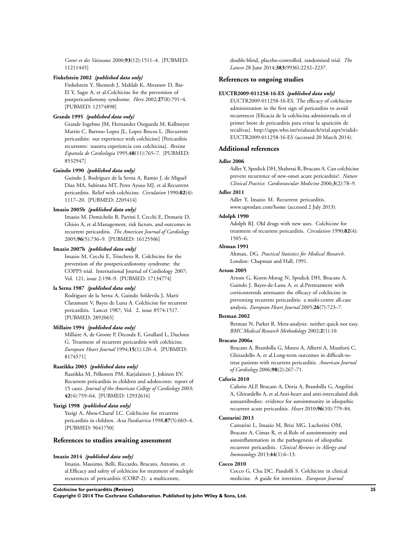*Coeur et des Vaisseaux* 2000;**93**(12):1511–4. [PUBMED: 11211445]

#### **Finkelstein 2002** *{published data only}*

Finkelstein Y, Shemesh J, Mahlab K, Abramov D, Bar-El Y, Sagie A, et al.Colchicine for the prevention of postpericardiotomy syndrome. *Herz* 2002;**27**(8):791–4. [PUBMED: 12574898]

#### **Grande 1995** *{published data only}*

Grande Ingelmo JM, Hernandez Osegueda M, Kallmeyer Martin C, Barroso Lopez JL, Lopez Bescos L. [Recurrent pericarditis: our experience with colchicine] [Pericarditis recurrente: nuestra experiencia con colchicina]. *Revista Espanola de Cardiologia* 1995;**48**(11):765–7. [PUBMED: 8532947]

#### **Guindo 1990** *{published data only}*

Guindo J, Rodriguez de la Serna A, Ramio J, de Miguel Diaz MA, Subirana MT, Perez Ayuso MJ, et al.Recurrent pericarditis. Relief with colchicine. *Circulation* 1990;**82**(4): 1117–20. [PUBMED: 2205414]

#### **Imazio 2005b** *{published data only}*

Imazio M, Demichelis B, Parrini I, Cecchi E, Demarie D, Ghisio A, et al.Management, risk factors, and outcomes in recurrent pericarditis. *The American Journal of Cardiology* 2005;**96**(5):736–9. [PUBMED: 16125506]

#### **Imazio 2007b** *{published data only}*

Imazio M, Cecchi E, Trinchero R. Colchicine for the prevention of the postpericardiotomy syndrome: the COPPS trial. International Journal of Cardiology 2007; Vol. 121, issue 2:198–9. [PUBMED: 17134774]

#### **la Serna 1987** *{published data only}*

Rodriguez de la Serna A, Guindo Soldevila J, Marti Claramunt V, Bayes de Luna A. Colchicine for recurrent pericarditis. Lancet 1987; Vol. 2, issue 8574:1517. [PUBMED: 2892065]

#### **Millaire 1994** *{published data only}*

Millaire A, de Groote P, Decoulx E, Goullard L, Ducloux G. Treatment of recurrent pericarditis with colchicine. *European Heart Journal* 1994;**15**(1):120–4. [PUBMED: 8174571]

#### **Raatikka 2003** *{published data only}*

Raatikka M, Pelkonen PM, Karjalainen J, Jokinen EV. Recurrent pericarditis in children and adolescents: report of 15 cases. *Journal of the American College of Cardiology* 2003; **42**(4):759–64. [PUBMED: 12932616]

#### **Yazigi 1998** *{published data only}*

Yazigi A, Abou-Charaf LC. Colchicine for recurrent pericarditis in children. *Acta Paediatrica* 1998;**87**(5):603–4. [PUBMED: 9641750]

#### **References to studies awaiting assessment**

#### **Imazio 2014** *{published data only}*

Imazio, Massimo, Belli, Riccardo, Brucato, Antonio, et al.Efficacy and safety of colchicine for treatment of multiple recurrences of pericarditis (CORP-2): a multicentre,

double-blind, placebo-controlled, randomised trial. *The Lancet* 28 June 2014;**383**(9936):2232–2237.

#### **References to ongoing studies**

#### **EUCTR2009-011258-16-ES** *{published data only}*

EUCTR2009-011258-16-ES. The efficacy of colchicine administration in the first sign of pericarditis to avoid recurrences [Eficacia de la colchicina administrada en el primer brote de pericarditis para evitar la aparición de recidivas]. http://apps.who.int/trialsearch/trial.aspx?trialid= EUCTR2009-011258-16-ES (accessed 20 March 2014).

#### **Additional references**

#### **Adler 2006**

Adler Y, Spodick DH, Shabetai R, Brucato A. Can colchicine prevent recurrence of new-onset acute pericarditis?. *Nature Clinical Practice. Cardiovascular Medicine* 2006;**3**(2):78–9.

#### **Adler 2011**

Adler Y, Imazio M. Recurrent pericarditis. www.uptodate.com/home (accessed 2 July 2013).

#### **Adolph 1990**

Adolph RJ. Old drugs with new uses. Colchicine for treatment of recurrent pericarditis. *Circulation* 1990;**82**(4): 1505–6.

#### **Altman 1991**

Altman, DG. *Practical Statistics for Medical Research*. London: Chapman and Hall, 1991.

#### **Artom 2005**

Artom G, Koren-Morag N, Spodick DH, Brucato A, Guindo J, Bayes-de-Luna A, et al.Pretreatment with corticosteroids attenuates the efficacy of colchicine in preventing recurrent pericarditis: a multi-centre all-case analysis. *European Heart Journal* 2005;**26**(7):723–7.

#### **Berman 2002**

Berman N, Parker R. Meta-analysis: neither quick nor easy. *BMC Medical Research Methodology* 2002;**2**(1):10.

#### **Brucato 2006a**

Brucato A, Brambilla G, Moreo A, Alberti A, Munforti C, Ghirardello A, et al.Long-term outcomes in difficult-totreat patients with recurrent pericarditis. *American Journal of Cardiology* 2006;**98**(2):267–71.

#### **Caforio 2010**

Caforio ALP, Brucato A, Doria A, Brambilla G, Angelini A, Ghirardello A, et al.Anti-heart and anti-intercalated disk autoantibodies: evidence for autoimmunity in idiopathic recurrent acute pericarditis. *Heart* 2010;**96**(10):779–84.

#### **Cantarini 2013**

Cantarini L, Imazio M, Brizi MG, Lucherini OM, Brucato A, Cimaz R, et al.Role of autoimmunity and autoinflammation in the pathogenesis of idiopathic recurrent pericarditis. *Clinical Reviews in Allergy and Immunology* 2013;**44**(1):6–13.

#### **Cocco 2010**

Cocco G, Chu DC, Pandolfi S. Colchicine in clinical medicine. A guide for internists. *European Journal*

#### **Colchicine for pericarditis (Review) 25**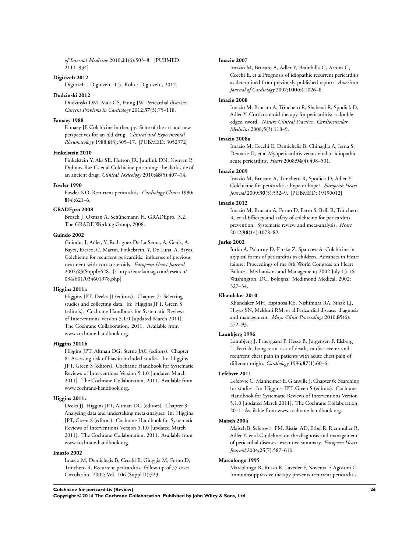*of Internal Medicine* 2010;**21**(6):503–8. [PUBMED: 21111934]

#### **DigitizeIt 2012**

DigitizeIt . DigitizeIt. 1.5. Köln : DigitizeIt , 2012.

#### **Dudzinski 2012**

Dudzinski DM, Mak GS, Hung JW. Pericardial diseases. *Current Problems in Cardiology* 2012;**37**(3):75–118.

#### **Famaey 1988**

Famaey JP. Colchicine in therapy. State of the art and new perspectives for an old drug. *Clinical and Experimental Rheumatology* 1988;**6**(3):305–17. [PUBMED: 3052972]

#### **Finkelstein 2010**

Finkelstein Y, Aks SE, Hutson JR, Juurlink DN, Nguyen P, Dubnov-Raz G, et al.Colchicine poisoning: the dark side of an ancient drug. *Clinical Toxicology* 2010;**48**(5):407–14.

#### **Fowler 1990**

Fowler NO. Recurrent pericarditis. *Cardiology Clinics* 1990; **8**(4):621–6.

#### **GRADEpro 2008**

Brozek J, Oxman A, Schünemann H. GRADEpro. 3.2. The GRADE Working Group, 2008.

#### **Guindo 2002**

Guindo, J, Adler, Y, Rodriguez De La Serna, A, Genis, A. Bayes, Riesco, C. Martin, Finkelstein, Y, De Luna, A. Bayes. Colchicine for recurrent pericarditis: influence of previous treatment with corticosteroids. *European Heart Journal* 2002;**23**(Suppl):628. [: http://eurekamag.com/research/ 034/601/034601978.php]

#### **Higgins 2011a**

Higgins JPT, Deeks JJ (editors). Chapter 7: Selecting studies and collecting data. In: Higgins JPT, Green S (editors). Cochrane Handbook for Systematic Reviews of Interventions Version 5.1.0 [updated March 2011]. The Cochrane Collaboration, 2011. Available from www.cochrane-handbook.org.

#### **Higgins 2011b**

Higgins JPT, Altman DG, Sterne JAC (editors). Chapter 8: Assessing risk of bias in included studies. In: Higgins JPT, Green S (editors). Cochrane Handbook for Systematic Reviews of Interventions Version 5.1.0 [updated March 2011]. The Cochrane Collaboration, 2011. Available from www.cochrane-handbook.org.

#### **Higgins 2011c**

Deeks JJ, Higgins JPT, Altman DG (editors). Chapter 9: Analysing data and undertaking meta-analyses. In: Higgins JPT, Green S (editors). Cochrane Handbook for Systematic Reviews of Interventions Version 5.1.0 [updated March 2011]. The Cochrane Collaboration, 2011. Available from www.cochrane-handbook.org.

#### **Imazio 2002**

Imazio M, Demichelis B, Cecchi E, Giuggia M, Forno D, Trinchero R. Recurrent pericarditis: follow-up of 55 cases. Circulation. 2002; Vol. 106 (Suppl II):323.

#### **Imazio 2007**

Imazio M, Brucato A, Adler Y, Brambilla G, Artom G, Cecchi E, et al.Prognosis of idiopathic recurrent pericarditis as determined from previously published reports. *American Journal of Cardiology* 2007;**100**(6):1026–8.

#### **Imazio 2008**

Imazio M, Brucato A, Trinchero R, Shabetai R, Spodick D, Adler Y. Corticosteroid therapy for pericarditis: a doubleedged sword. *Nature Clinical Practice. Cardiovascular Medicine* 2008;**5**(3):118–9.

#### **Imazio 2008a**

Imazio M, Cecchi E, Demichelis B, Chinaglia A, Ierna S, Demarie D, et al.Myopericarditis versus viral or idiopathic acute pericarditis. *Heart* 2008;**94**(4):498–501.

#### **Imazio 2009**

Imazio M, Brucato A, Trinchero R, Spodick D, Adler Y. Colchicine for pericarditis: hype or hope?. *European Heart Journal* 2009;**30**(5):532–9. [PUBMED: 19190012]

#### **Imazio 2012**

Imazio M, Brucato A, Forno D, Ferro S, Belli R, Trinchero R, et al.Efficacy and safety of colchicine for pericarditis prevention. Systematic review and meta-analysis. *Heart* 2012;**98**(14):1078–82.

#### **Jurko 2002**

Jurko A, Pokorny D, Farska Z, Sparcova A. Colchicine in atypical forms of pericarditis in children. Advances in Heart failure; Proceedings of the 8th World Congress on Heart Failure - Mechanisms and Management; 2002 July 13-16; Washington, DC. Bologna: Medimond Medical, 2002: 327–34.

#### **Khandaker 2010**

Khandaker MH, Espinosa RE, Nishimura RA, Sinak LJ, Hayes SN, Melduni RM, et al.Pericardial disease: diagnosis and management. *Mayo Clinic Proceedings* 2010;**85**(6): 572–93.

#### **Launbjerg 1996**

Launbjerg J, Fruergaard P, Hesse B, Jørgensen F, Elsborg L, Petri A. Long-term risk of death, cardiac events and recurrent chest pain in patients with acute chest pain of different origin. *Cardiology* 1996;**87**(1):60–6.

#### **Lefebvre 2011**

Lefebvre C, Manheimer E, Glanville J. Chapter 6: Searching for studies. In: Higgins, JPT, Green S (editors). Cochrane Handbook for Systematic Reviews of Interventions Version 5.1.0 [updated March 2011]. The Cochrane Collaboration, 2011. Available from www.cochrane-handbook.org.

#### **Maisch 2004**

Maisch B, Seferovic PM, Ristic AD, Erbel R, Rienmüller R, Adler Y, et al.Guidelines on the diagnosis and management of pericardial diseases: executive summary. *European Heart Journal* 2004;**25**(7):587–610.

#### **Marcolongo 1995**

Marcolongo R, Russo R, Laveder F, Noventa F, Agostini C. Immunosuppressive therapy prevents recurrent pericarditis.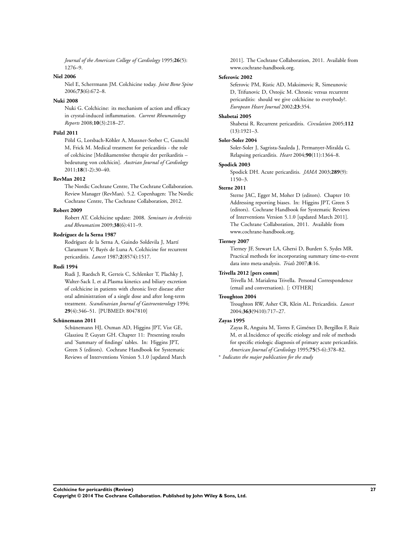*Journal of the American College of Cardiology* 1995;**26**(5): 1276–9.

#### **Niel 2006**

Niel E, Scherrmann JM. Colchicine today. *Joint Bone Spine* 2006;**73**(6):672–8.

#### **Nuki 2008**

Nuki G. Colchicine: its mechanism of action and efficacy in crystal-induced inflammation. *Current Rheumatology Reports* 2008;**10**(3):218–27.

#### **Pölzl 2011**

Pölzl G, Lorsbach-Köhler A, Mussner-Seeber C, Gunschl M, Frick M. Medical treatment for pericarditis - the role of colchicine [Medikamentöse therapie der perikarditis – bedeutung von colchicin]. *Austrian Journal of Cardiology* 2011;**18**(1-2):30–40.

#### **RevMan 2012**

The Nordic Cochrane Centre, The Cochrane Collaboration. Review Manager (RevMan). 5.2. Copenhagen: The Nordic Cochrane Centre, The Cochrane Collaboration, 2012.

#### **Robert 2009**

Robert AT. Colchicine update: 2008. *Seminars in Arthritis and Rheumatism* 2009;**38**(6):411–9.

#### **Rodríguez de la Serna 1987**

Rodríguez de la Serna A, Guindo Soldevila J, Martí Claramunt V, Bayés de Luna A. Colchicine for recurrent pericarditis. *Lancet* 1987;**2**(8574):1517.

#### **Rudi 1994**

Rudi J, Raedsch R, Gerteis C, Schlenker T, Plachky J, Walter-Sack I, et al.Plasma kinetics and biliary excretion of colchicine in patients with chronic liver disease after oral administration of a single dose and after long-term treatment. *Scandinavian Journal of Gastroenterology* 1994; **29**(4):346–51. [PUBMED: 8047810]

#### **Schünemann 2011**

Schünemann HJ, Oxman AD, Higgins JPT, Vist GE, Glasziou P, Guyatt GH. Chapter 11: Presenting results and 'Summary of findings' tables. In: Higgins JPT, Green S (editors). Cochrane Handbook for Systematic Reviews of Interventions Version 5.1.0 [updated March 2011]. The Cochrane Collaboration, 2011. Available from www.cochrane-handbook.org.

#### **Seferovic 2002**

Seferovic PM, Ristic AD, Maksimovic R, Simeunovic D, Trifunovic D, Ostojic M. Chronic versus recurrent pericarditis: should we give colchicine to everybody?. *European Heart Journal* 2002;**23**:354.

#### **Shabetai 2005**

Shabetai R. Recurrent pericarditis. *Circulation* 2005;**112** (13):1921–3.

#### **Soler-Soler 2004**

Soler-Soler J, Sagrista-Sauleda J, Permanyer-Miralda G. Relapsing pericarditis. *Heart* 2004;**90**(11):1364–8.

#### **Spodick 2003**

Spodick DH. Acute pericarditis. *JAMA* 2003;**289**(9): 1150–3.

#### **Sterne 2011**

Sterne JAC, Egger M, Moher D (editors). Chapter 10: Addressing reporting biases. In: Higgins JPT, Green S (editors). Cochrane Handbook for Systematic Reviews of Interventions Version 5.1.0 [updated March 2011]. The Cochrane Collaboration, 2011. Available from www.cochrane-handbook.org.

#### **Tierney 2007**

Tierney JF, Stewart LA, Ghersi D, Burdett S, Sydes MR. Practical methods for incorporating summary time-to-event data into meta-analysis. *Trials* 2007;**8**:16.

#### **Trivella 2012 [pers comm]**

Trivella M. Marialena Trivella. Personal Correspondence (email and conversation). [: OTHER]

#### **Troughton 2004**

Troughton RW, Asher CR, Klein AL. Pericarditis. *Lancet* 2004;**363**(9410):717–27.

#### **Zayas 1995**

Zayas R, Anguita M, Torres F, Giménez D, Bergillos F, Ruiz M, et al.Incidence of specific etiology and role of methods for specific etiologic diagnosis of primary acute pericarditis. *American Journal of Cardiology* 1995;**75**(5-6):378–82.

∗ *Indicates the major publication for the study*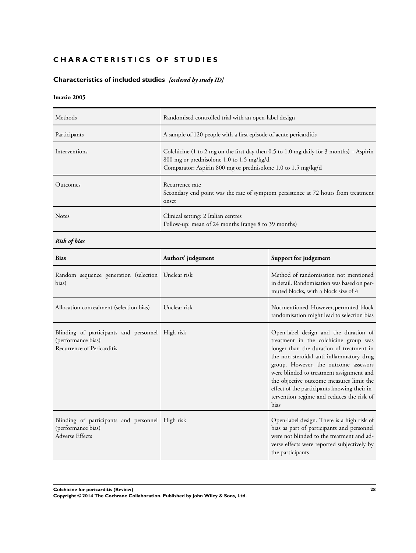#### <span id="page-30-0"></span>**CHARACTERISTICS OF STUDIES**

#### **Characteristics of included studies** *[ordered by study ID]*

#### **Imazio 2005**

| Methods       | Randomised controlled trial with an open-label design                                                                                                                                                 |
|---------------|-------------------------------------------------------------------------------------------------------------------------------------------------------------------------------------------------------|
| Participants  | A sample of 120 people with a first episode of acute pericarditis                                                                                                                                     |
| Interventions | Colchicine (1 to 2 mg on the first day then 0.5 to 1.0 mg daily for 3 months) + Aspirin<br>800 mg or prednisolone 1.0 to 1.5 mg/kg/d<br>Comparator: Aspirin 800 mg or prednisolone 1.0 to 1.5 mg/kg/d |
| Outcomes      | Recurrence rate<br>Secondary end point was the rate of symptom persistence at 72 hours from treatment<br>onset                                                                                        |
| <b>Notes</b>  | Clinical setting: 2 Italian centres<br>Follow-up: mean of 24 months (range 8 to 39 months)                                                                                                            |

*Risk of bias*

| <b>Bias</b>                                                                                          | Authors' judgement | Support for judgement                                                                                                                                                                                                                                                                                                                                                                                        |
|------------------------------------------------------------------------------------------------------|--------------------|--------------------------------------------------------------------------------------------------------------------------------------------------------------------------------------------------------------------------------------------------------------------------------------------------------------------------------------------------------------------------------------------------------------|
| Random sequence generation (selection Unclear risk<br>bias)                                          |                    | Method of randomisation not mentioned<br>in detail. Randomisation was based on per-<br>muted blocks, with a block size of 4                                                                                                                                                                                                                                                                                  |
| Allocation concealment (selection bias)                                                              | Unclear risk       | Not mentioned. However, permuted-block<br>randomisation might lead to selection bias                                                                                                                                                                                                                                                                                                                         |
| Blinding of participants and personnel High risk<br>(performance bias)<br>Recurrence of Pericarditis |                    | Open-label design and the duration of<br>treatment in the colchicine group was<br>longer than the duration of treatment in<br>the non-steroidal anti-inflammatory drug<br>group. However, the outcome assessors<br>were blinded to treatment assignment and<br>the objective outcome measures limit the<br>effect of the participants knowing their in-<br>tervention regime and reduces the risk of<br>bias |
| Blinding of participants and personnel High risk<br>(performance bias)<br>Adverse Effects            |                    | Open-label design. There is a high risk of<br>bias as part of participants and personnel<br>were not blinded to the treatment and ad-<br>verse effects were reported subjectively by<br>the participants                                                                                                                                                                                                     |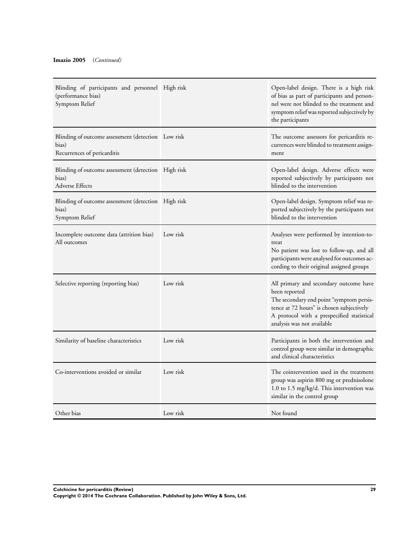| Blinding of participants and personnel High risk<br>(performance bias)<br>Symptom Relief   |          | Open-label design. There is a high risk<br>of bias as part of participants and person-<br>nel were not blinded to the treatment and<br>symptom relief was reported subjectively by<br>the participants                       |
|--------------------------------------------------------------------------------------------|----------|------------------------------------------------------------------------------------------------------------------------------------------------------------------------------------------------------------------------------|
| Blinding of outcome assessment (detection Low risk<br>bias)<br>Recurrences of pericarditis |          | The outcome assessors for pericarditis re-<br>currences were blinded to treatment assign-<br>ment                                                                                                                            |
| Blinding of outcome assessment (detection High risk<br>bias)<br><b>Adverse Effects</b>     |          | Open-label design. Adverse effects were<br>reported subjectively by participants not<br>blinded to the intervention                                                                                                          |
| Blinding of outcome assessment (detection High risk<br>bias)<br>Symptom Relief             |          | Open-label design. Symptom relief was re-<br>ported subjectively by the participants not<br>blinded to the intervention                                                                                                      |
| Incomplete outcome data (attrition bias)<br>All outcomes                                   | Low risk | Analyses were performed by intention-to-<br>treat<br>No patient was lost to follow-up, and all<br>participants were analysed for outcomes ac-<br>cording to their original assigned groups                                   |
| Selective reporting (reporting bias)                                                       | Low risk | All primary and secondary outcome have<br>been reported<br>The secondary end point "symptom persis-<br>tence at 72 hours" is chosen subjectively<br>A protocol with a prespecified statistical<br>analysis was not available |
| Similarity of baseline characteristics                                                     | Low risk | Participants in both the intervention and<br>control group were similar in demographic<br>and clinical characteristics                                                                                                       |
| Co-interventions avoided or similar                                                        | Low risk | The cointervention used in the treatment<br>group was aspirin 800 mg or prednisolone<br>1.0 to 1.5 mg/kg/d. This intervention was<br>similar in the control group                                                            |
| Other bias                                                                                 | Low risk | Not found                                                                                                                                                                                                                    |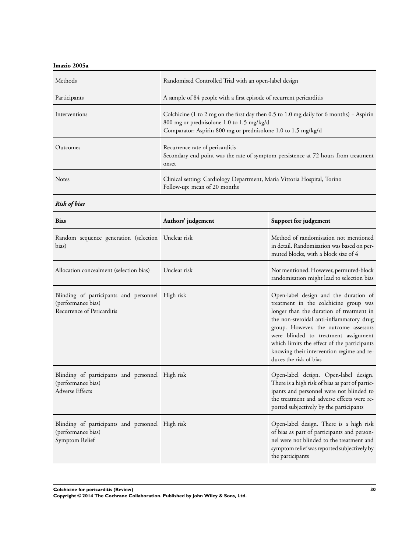**Imazio 2005a**

| Methods         | Randomised Controlled Trial with an open-label design                                                                                                                                                 |
|-----------------|-------------------------------------------------------------------------------------------------------------------------------------------------------------------------------------------------------|
| Participants    | A sample of 84 people with a first episode of recurrent pericarditis                                                                                                                                  |
| Interventions   | Colchicine (1 to 2 mg on the first day then 0.5 to 1.0 mg daily for 6 months) + Aspirin<br>800 mg or prednisolone 1.0 to 1.5 mg/kg/d<br>Comparator: Aspirin 800 mg or prednisolone 1.0 to 1.5 mg/kg/d |
| <b>Outcomes</b> | Recurrence rate of pericarditis<br>Secondary end point was the rate of symptom persistence at 72 hours from treatment<br>onset                                                                        |
| <b>Notes</b>    | Clinical setting: Cardiology Department, Maria Vittoria Hospital, Torino<br>Follow-up: mean of 20 months                                                                                              |

*Risk of bias*

| <b>Bias</b>                                                                                          | Authors' judgement | Support for judgement                                                                                                                                                                                                                                                                                                                                                         |
|------------------------------------------------------------------------------------------------------|--------------------|-------------------------------------------------------------------------------------------------------------------------------------------------------------------------------------------------------------------------------------------------------------------------------------------------------------------------------------------------------------------------------|
| Random sequence generation (selection Unclear risk<br>bias)                                          |                    | Method of randomisation not mentioned<br>in detail. Randomisation was based on per-<br>muted blocks, with a block size of 4                                                                                                                                                                                                                                                   |
| Allocation concealment (selection bias)                                                              | Unclear risk       | Not mentioned. However, permuted-block<br>randomisation might lead to selection bias                                                                                                                                                                                                                                                                                          |
| Blinding of participants and personnel High risk<br>(performance bias)<br>Recurrence of Pericarditis |                    | Open-label design and the duration of<br>treatment in the colchicine group was<br>longer than the duration of treatment in<br>the non-steroidal anti-inflammatory drug<br>group. However, the outcome assessors<br>were blinded to treatment assignment<br>which limits the effect of the participants<br>knowing their intervention regime and re-<br>duces the risk of bias |
| Blinding of participants and personnel High risk<br>(performance bias)<br>Adverse Effects            |                    | Open-label design. Open-label design.<br>There is a high risk of bias as part of partic-<br>ipants and personnel were not blinded to<br>the treatment and adverse effects were re-<br>ported subjectively by the participants                                                                                                                                                 |
| Blinding of participants and personnel High risk<br>(performance bias)<br>Symptom Relief             |                    | Open-label design. There is a high risk<br>of bias as part of participants and person-<br>nel were not blinded to the treatment and<br>symptom relief was reported subjectively by<br>the participants                                                                                                                                                                        |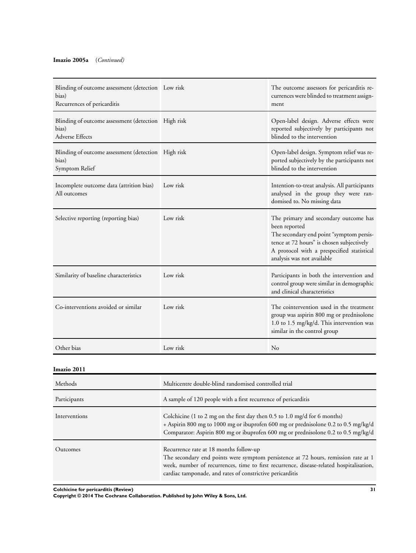#### **Imazio 2005a** (*Continued)*

| Blinding of outcome assessment (detection Low risk<br>bias)<br>Recurrences of pericarditis |          | The outcome assessors for pericarditis re-<br>currences were blinded to treatment assign-<br>ment                                                                                                                           |
|--------------------------------------------------------------------------------------------|----------|-----------------------------------------------------------------------------------------------------------------------------------------------------------------------------------------------------------------------------|
| Blinding of outcome assessment (detection High risk<br>bias)<br>Adverse Effects            |          | Open-label design. Adverse effects were<br>reported subjectively by participants not<br>blinded to the intervention                                                                                                         |
| Blinding of outcome assessment (detection High risk<br>bias)<br>Symptom Relief             |          | Open-label design. Symptom relief was re-<br>ported subjectively by the participants not<br>blinded to the intervention                                                                                                     |
| Incomplete outcome data (attrition bias)<br>All outcomes                                   | Low risk | Intention-to-treat analysis. All participants<br>analysed in the group they were ran-<br>domised to. No missing data                                                                                                        |
| Selective reporting (reporting bias)                                                       | Low risk | The primary and secondary outcome has<br>been reported<br>The secondary end point "symptom persis-<br>tence at 72 hours" is chosen subjectively<br>A protocol with a prespecified statistical<br>analysis was not available |
| Similarity of baseline characteristics                                                     | Low risk | Participants in both the intervention and<br>control group were similar in demographic<br>and clinical characteristics                                                                                                      |
| Co-interventions avoided or similar                                                        | Low risk | The cointervention used in the treatment<br>group was aspirin 800 mg or prednisolone<br>1.0 to 1.5 mg/kg/d. This intervention was<br>similar in the control group                                                           |
| Other bias                                                                                 | Low risk | $\rm No$                                                                                                                                                                                                                    |

#### **Imazio 2011**

| Methods       | Multicentre double-blind randomised controlled trial                                                                                                                                                                                                                                 |
|---------------|--------------------------------------------------------------------------------------------------------------------------------------------------------------------------------------------------------------------------------------------------------------------------------------|
| Participants  | A sample of 120 people with a first recurrence of pericarditis                                                                                                                                                                                                                       |
| Interventions | Colchicine (1 to 2 mg on the first day then $0.5$ to 1.0 mg/d for 6 months)<br>+ Aspirin 800 mg to 1000 mg or ibuprofen 600 mg or prednisolone 0.2 to 0.5 mg/kg/d<br>Comparator: Aspirin 800 mg or ibuprofen 600 mg or prednisolone 0.2 to 0.5 mg/kg/d                               |
| Outcomes      | Recurrence rate at 18 months follow-up<br>The secondary end points were symptom persistence at 72 hours, remission rate at 1<br>week, number of recurrences, time to first recurrence, disease-related hospitalisation,<br>cardiac tamponade, and rates of constrictive pericarditis |

**Colchicine for pericarditis (Review) 31**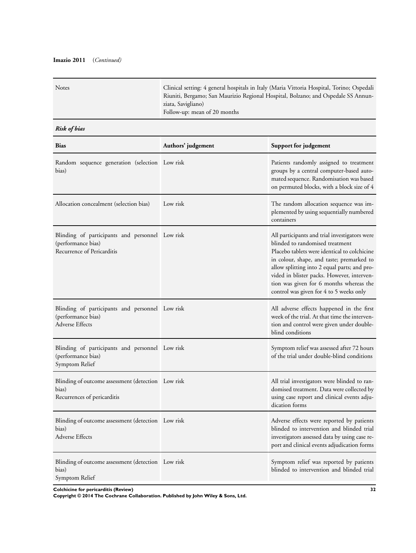#### **Imazio 2011** (*Continued)*

| <b>Notes</b> | Clinical setting: 4 general hospitals in Italy (Maria Vittoria Hospital, Torino; Ospedali |
|--------------|-------------------------------------------------------------------------------------------|
|              | Riuniti, Bergamo; San Maurizio Regional Hospital, Bolzano; and Ospedale SS Annun-         |
|              | ziata, Savigliano)                                                                        |
|              | Follow-up: mean of 20 months                                                              |
|              |                                                                                           |

#### *Risk of bias*

| <b>Bias</b>                                                                                         | Authors' judgement | Support for judgement                                                                                                                                                                                                                                                                                                                                             |
|-----------------------------------------------------------------------------------------------------|--------------------|-------------------------------------------------------------------------------------------------------------------------------------------------------------------------------------------------------------------------------------------------------------------------------------------------------------------------------------------------------------------|
| Random sequence generation (selection Low risk<br>bias)                                             |                    | Patients randomly assigned to treatment<br>groups by a central computer-based auto-<br>mated sequence. Randomisation was based<br>on permuted blocks, with a block size of 4                                                                                                                                                                                      |
| Allocation concealment (selection bias)                                                             | Low risk           | The random allocation sequence was im-<br>plemented by using sequentially numbered<br>containers                                                                                                                                                                                                                                                                  |
| Blinding of participants and personnel Low risk<br>(performance bias)<br>Recurrence of Pericarditis |                    | All participants and trial investigators were<br>blinded to randomised treatment<br>Placebo tablets were identical to colchicine<br>in colour, shape, and taste; premarked to<br>allow splitting into 2 equal parts; and pro-<br>vided in blister packs. However, interven-<br>tion was given for 6 months whereas the<br>control was given for 4 to 5 weeks only |
| Blinding of participants and personnel Low risk<br>(performance bias)<br><b>Adverse Effects</b>     |                    | All adverse effects happened in the first<br>week of the trial. At that time the interven-<br>tion and control were given under double-<br>blind conditions                                                                                                                                                                                                       |
| Blinding of participants and personnel Low risk<br>(performance bias)<br>Symptom Relief             |                    | Symptom relief was assessed after 72 hours<br>of the trial under double-blind conditions                                                                                                                                                                                                                                                                          |
| Blinding of outcome assessment (detection Low risk<br>bias)<br>Recurrences of pericarditis          |                    | All trial investigators were blinded to ran-<br>domised treatment. Data were collected by<br>using case report and clinical events adju-<br>dication forms                                                                                                                                                                                                        |
| Blinding of outcome assessment (detection Low risk<br>bias)<br>Adverse Effects                      |                    | Adverse effects were reported by patients<br>blinded to intervention and blinded trial<br>investigators assessed data by using case re-<br>port and clinical events adjudication forms                                                                                                                                                                            |
| Blinding of outcome assessment (detection Low risk<br>bias)<br>Symptom Relief                       |                    | Symptom relief was reported by patients<br>blinded to intervention and blinded trial                                                                                                                                                                                                                                                                              |

**Colchicine for pericarditis (Review) 32**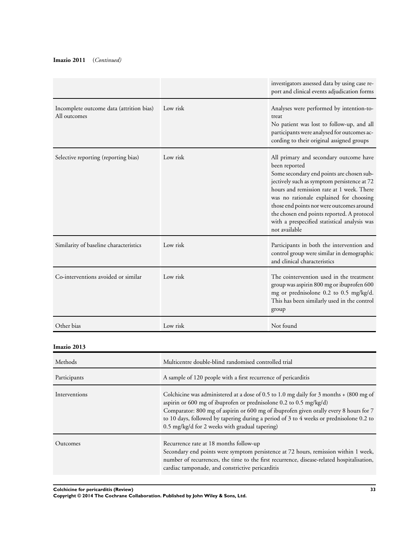#### **Imazio 2011** (*Continued)*

|                                                          |                                                                                                                                                                                                                                                                                                                                                                                                    | investigators assessed data by using case re-<br>port and clinical events adjudication forms                                                                                                                                                                                                                                                                                                            |
|----------------------------------------------------------|----------------------------------------------------------------------------------------------------------------------------------------------------------------------------------------------------------------------------------------------------------------------------------------------------------------------------------------------------------------------------------------------------|---------------------------------------------------------------------------------------------------------------------------------------------------------------------------------------------------------------------------------------------------------------------------------------------------------------------------------------------------------------------------------------------------------|
| Incomplete outcome data (attrition bias)<br>All outcomes | Low risk                                                                                                                                                                                                                                                                                                                                                                                           | Analyses were performed by intention-to-<br>treat<br>No patient was lost to follow-up, and all<br>participants were analysed for outcomes ac-<br>cording to their original assigned groups                                                                                                                                                                                                              |
| Selective reporting (reporting bias)                     | Low risk                                                                                                                                                                                                                                                                                                                                                                                           | All primary and secondary outcome have<br>been reported<br>Some secondary end points are chosen sub-<br>jectively such as symptom persistence at 72<br>hours and remission rate at 1 week. There<br>was no rationale explained for choosing<br>those end points nor were outcomes around<br>the chosen end points reported. A protocol<br>with a prespecified statistical analysis was<br>not available |
| Similarity of baseline characteristics                   | Low risk                                                                                                                                                                                                                                                                                                                                                                                           | Participants in both the intervention and<br>control group were similar in demographic<br>and clinical characteristics                                                                                                                                                                                                                                                                                  |
| Co-interventions avoided or similar                      | Low risk                                                                                                                                                                                                                                                                                                                                                                                           | The cointervention used in the treatment<br>group was aspirin 800 mg or ibuprofen 600<br>mg or prednisolone 0.2 to 0.5 mg/kg/d.<br>This has been similarly used in the control<br>group                                                                                                                                                                                                                 |
| Other bias                                               | Low risk                                                                                                                                                                                                                                                                                                                                                                                           | Not found                                                                                                                                                                                                                                                                                                                                                                                               |
| Imazio 2013                                              |                                                                                                                                                                                                                                                                                                                                                                                                    |                                                                                                                                                                                                                                                                                                                                                                                                         |
| Methods                                                  | Multicentre double-blind randomised controlled trial                                                                                                                                                                                                                                                                                                                                               |                                                                                                                                                                                                                                                                                                                                                                                                         |
| Participants                                             | A sample of 120 people with a first recurrence of pericarditis                                                                                                                                                                                                                                                                                                                                     |                                                                                                                                                                                                                                                                                                                                                                                                         |
| Interventions                                            | Colchicine was administered at a dose of 0.5 to 1.0 mg daily for 3 months + (800 mg of<br>aspirin or 600 mg of ibuprofen or prednisolone 0.2 to 0.5 mg/kg/d)<br>Comparator: 800 mg of aspirin or 600 mg of ibuprofen given orally every 8 hours for 7<br>to 10 days, followed by tapering during a period of 3 to 4 weeks or prednisolone 0.2 to<br>0.5 mg/kg/d for 2 weeks with gradual tapering) |                                                                                                                                                                                                                                                                                                                                                                                                         |
| Outcomes                                                 | Recurrence rate at 18 months follow-up                                                                                                                                                                                                                                                                                                                                                             |                                                                                                                                                                                                                                                                                                                                                                                                         |

| Secondary end points were symptom persistence at 72 hours, remission within 1 week,       |
|-------------------------------------------------------------------------------------------|
| number of recurrences, the time to the first recurrence, disease-related hospitalisation, |
| cardiac tamponade, and constrictive pericarditis                                          |

**Colchicine for pericarditis (Review) 33**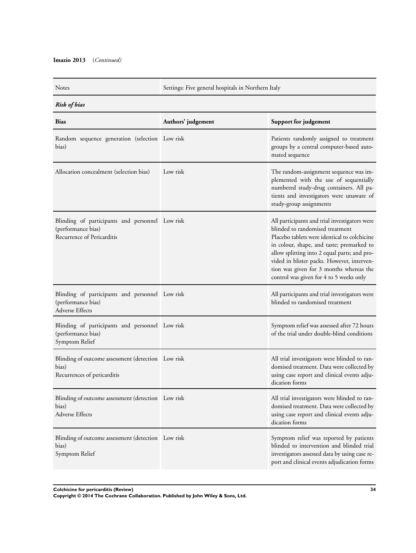Notes Settings: Five general hospitals in Northern Italy

*Risk of bias*

| <b>Bias</b>                                                                                         | Authors' judgement | Support for judgement                                                                                                                                                                                                                                                                                                                                             |
|-----------------------------------------------------------------------------------------------------|--------------------|-------------------------------------------------------------------------------------------------------------------------------------------------------------------------------------------------------------------------------------------------------------------------------------------------------------------------------------------------------------------|
| Random sequence generation (selection Low risk<br>bias)                                             |                    | Patients randomly assigned to treatment<br>groups by a central computer-based auto-<br>mated sequence                                                                                                                                                                                                                                                             |
| Allocation concealment (selection bias)                                                             | Low risk           | The random-assignment sequence was im-<br>plemented with the use of sequentially<br>numbered study-drug containers. All pa-<br>tients and investigators were unaware of<br>study-group assignments                                                                                                                                                                |
| Blinding of participants and personnel Low risk<br>(performance bias)<br>Recurrence of Pericarditis |                    | All participants and trial investigators were<br>blinded to randomised treatment<br>Placebo tablets were identical to colchicine<br>in colour, shape, and taste; premarked to<br>allow splitting into 2 equal parts; and pro-<br>vided in blister packs. However, interven-<br>tion was given for 3 months whereas the<br>control was given for 4 to 5 weeks only |
| Blinding of participants and personnel Low risk<br>(performance bias)<br><b>Adverse Effects</b>     |                    | All participants and trial investigators were<br>blinded to randomised treatment                                                                                                                                                                                                                                                                                  |
| Blinding of participants and personnel Low risk<br>(performance bias)<br>Symptom Relief             |                    | Symptom relief was assessed after 72 hours<br>of the trial under double-blind conditions                                                                                                                                                                                                                                                                          |
| Blinding of outcome assessment (detection Low risk<br>bias)<br>Recurrences of pericarditis          |                    | All trial investigators were blinded to ran-<br>domised treatment. Data were collected by<br>using case report and clinical events adju-<br>dication forms                                                                                                                                                                                                        |
| Blinding of outcome assessment (detection Low risk<br>bias)<br><b>Adverse Effects</b>               |                    | All trial investigators were blinded to ran-<br>domised treatment. Data were collected by<br>using case report and clinical events adju-<br>dication forms                                                                                                                                                                                                        |
| Blinding of outcome assessment (detection Low risk<br>bias)<br>Symptom Relief                       |                    | Symptom relief was reported by patients<br>blinded to intervention and blinded trial<br>investigators assessed data by using case re-<br>port and clinical events adjudication forms                                                                                                                                                                              |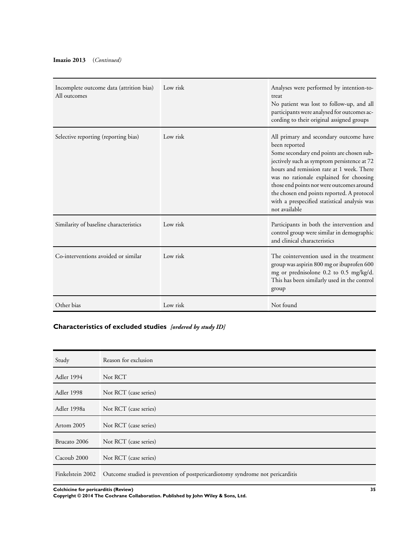#### <span id="page-37-0"></span>**Imazio 2013** (*Continued)*

| Incomplete outcome data (attrition bias)<br>All outcomes | Low risk | Analyses were performed by intention-to-<br>treat<br>No patient was lost to follow-up, and all<br>participants were analysed for outcomes ac-<br>cording to their original assigned groups                                                                                                                                                                                                              |
|----------------------------------------------------------|----------|---------------------------------------------------------------------------------------------------------------------------------------------------------------------------------------------------------------------------------------------------------------------------------------------------------------------------------------------------------------------------------------------------------|
| Selective reporting (reporting bias)                     | Low risk | All primary and secondary outcome have<br>been reported<br>Some secondary end points are chosen sub-<br>jectively such as symptom persistence at 72<br>hours and remission rate at 1 week. There<br>was no rationale explained for choosing<br>those end points nor were outcomes around<br>the chosen end points reported. A protocol<br>with a prespecified statistical analysis was<br>not available |
| Similarity of baseline characteristics                   | Low risk | Participants in both the intervention and<br>control group were similar in demographic<br>and clinical characteristics                                                                                                                                                                                                                                                                                  |
| Co-interventions avoided or similar                      | Low risk | The cointervention used in the treatment<br>group was aspirin 800 mg or ibuprofen 600<br>mg or prednisolone 0.2 to 0.5 mg/kg/d.<br>This has been similarly used in the control<br>group                                                                                                                                                                                                                 |
| Other bias                                               | Low risk | Not found                                                                                                                                                                                                                                                                                                                                                                                               |

#### **Characteristics of excluded studies** *[ordered by study ID]*

| Study            | Reason for exclusion                                                          |
|------------------|-------------------------------------------------------------------------------|
| Adler 1994       | Not RCT                                                                       |
| Adler 1998       | Not RCT (case series)                                                         |
| Adler 1998a      | Not RCT (case series)                                                         |
| Artom 2005       | Not RCT (case series)                                                         |
| Brucato 2006     | Not RCT (case series)                                                         |
| Cacoub 2000      | Not RCT (case series)                                                         |
| Finkelstein 2002 | Outcome studied is prevention of postpericardiotomy syndrome not pericarditis |

**Colchicine for pericarditis (Review) 35**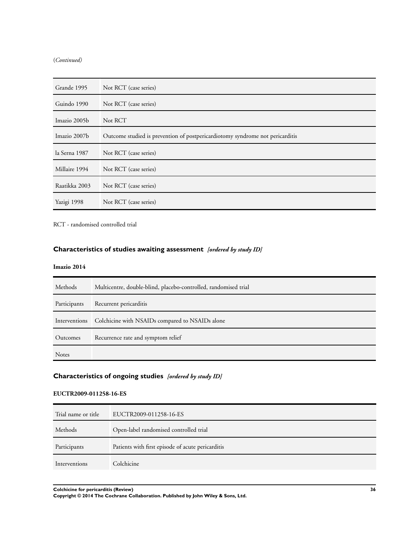(*Continued)*

| Grande 1995   | Not RCT (case series)                                                         |
|---------------|-------------------------------------------------------------------------------|
| Guindo 1990   | Not RCT (case series)                                                         |
| Imazio 2005b  | Not RCT                                                                       |
| Imazio 2007b  | Outcome studied is prevention of postpericardiotomy syndrome not pericarditis |
| la Serna 1987 | Not RCT (case series)                                                         |
| Millaire 1994 | Not RCT (case series)                                                         |
| Raatikka 2003 | Not RCT (case series)                                                         |
| Yazigi 1998   | Not RCT (case series)                                                         |

RCT - randomised controlled trial

#### **Characteristics of studies awaiting assessment** *[ordered by study ID]*

#### **Imazio 2014**

| Methods      | Multicentre, double-blind, placebo-controlled, randomised trial |
|--------------|-----------------------------------------------------------------|
| Participants | Recurrent pericarditis                                          |
|              | Interventions Colchicine with NSAIDs compared to NSAIDs alone   |
| Outcomes     | Recurrence rate and symptom relief                              |
| <b>Notes</b> |                                                                 |

#### **Characteristics of ongoing studies** *[ordered by study ID]*

#### **EUCTR2009-011258-16-ES**

| Trial name or title | EUCTR2009-011258-16-ES                            |
|---------------------|---------------------------------------------------|
| Methods             | Open-label randomised controlled trial            |
| Participants        | Patients with first episode of acute pericarditis |
| Interventions       | Colchicine                                        |
|                     |                                                   |

**Colchicine for pericarditis (Review) 36**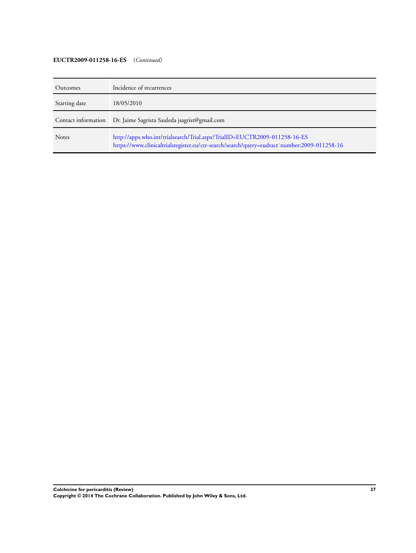#### **EUCTR2009-011258-16-ES** (*Continued)*

| Outcomes      | Incidence of recurrences                                                                                                                                                 |
|---------------|--------------------------------------------------------------------------------------------------------------------------------------------------------------------------|
| Starting date | 18/05/2010                                                                                                                                                               |
|               | Contact information Dr. Jaime Sagrista Sauleda jsagrist@gmail.com                                                                                                        |
| <b>Notes</b>  | http://apps.who.int/trialsearch/Trial.aspx?TrialID=EUCTR2009-011258-16-ES<br>https://www.clinicaltrialsregister.eu/ctr-search/search?query=eudract`number:2009-011258-16 |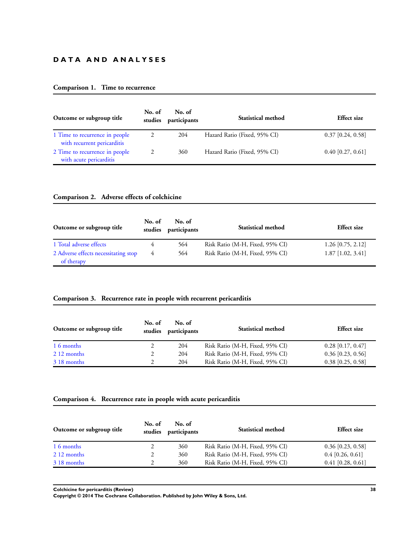#### **D A T A A N D A N A L Y S E S**

#### **Comparison 1. Time to recurrence**

| Outcome or subgroup title                                     | No. of<br>studies | No. of<br>participants | Statistical method           | <b>Effect size</b>  |
|---------------------------------------------------------------|-------------------|------------------------|------------------------------|---------------------|
| 1 Time to recurrence in people<br>with recurrent pericarditis |                   | 204                    | Hazard Ratio (Fixed, 95% CI) | $0.37$ [0.24, 0.58] |
| 2 Time to recurrence in people<br>with acute pericarditis     | 2                 | 360                    | Hazard Ratio (Fixed, 95% CI) | $0.40$ [0.27, 0.61] |

#### **Comparison 2. Adverse effects of colchicine**

| Outcome or subgroup title                          | No. of<br>studies | No. of<br>participants | <b>Statistical method</b>       | <b>Effect</b> size  |  |
|----------------------------------------------------|-------------------|------------------------|---------------------------------|---------------------|--|
| 1 Total adverse effects                            |                   | 564                    | Risk Ratio (M-H, Fixed, 95% CI) | $1.26$ [0.75, 2.12] |  |
| 2 Adverse effects necessitating stop<br>of therapy | 4                 | 564                    | Risk Ratio (M-H, Fixed, 95% CI) | $1.87$ [1.02, 3.41] |  |

#### **Comparison 3. Recurrence rate in people with recurrent pericarditis**

| Outcome or subgroup title | No. of<br>studies | No. of<br>participants | <b>Statistical method</b>       | <b>Effect</b> size  |
|---------------------------|-------------------|------------------------|---------------------------------|---------------------|
| 16 months                 |                   | 204                    | Risk Ratio (M-H, Fixed, 95% CI) | $0.28$ [0.17, 0.47] |
| 2.12 months               |                   | 204                    | Risk Ratio (M-H, Fixed, 95% CI) | $0.36$ [0.23, 0.56] |
| 3 18 months               |                   | 204                    | Risk Ratio (M-H, Fixed, 95% CI) | $0.38$ [0.25, 0.58] |

#### **Comparison 4. Recurrence rate in people with acute pericarditis**

| Outcome or subgroup title | No. of<br>studies | No. of<br>participants | <b>Statistical method</b>       | <b>Effect</b> size  |
|---------------------------|-------------------|------------------------|---------------------------------|---------------------|
| 16 months                 |                   | 360                    | Risk Ratio (M-H, Fixed, 95% CI) | $0.36$ [0.23, 0.58] |
| 2.12 months               |                   | 360                    | Risk Ratio (M-H, Fixed, 95% CI) | $0.4$ [0.26, 0.61]  |
| 3.18 months               |                   | 360                    | Risk Ratio (M-H, Fixed, 95% CI) | $0.41$ [0.28, 0.61] |

**Colchicine for pericarditis (Review) 38**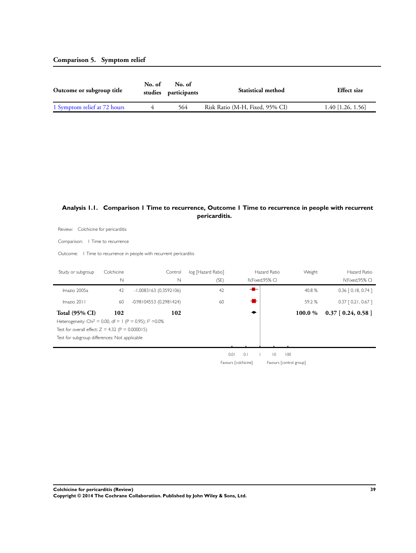#### <span id="page-41-0"></span>**Comparison 5. Symptom relief**

| Outcome or subgroup title    | No. of | No. of<br>studies participants | <b>Statistical method</b>       | <b>Effect</b> size  |
|------------------------------|--------|--------------------------------|---------------------------------|---------------------|
| 1 Symptom relief at 72 hours |        | 564                            | Risk Ratio (M-H, Fixed, 95% CI) | $1.40$ [1.26, 1.56] |

#### **Analysis 1.1. Comparison 1 Time to recurrence, Outcome 1 Time to recurrence in people with recurrent pericarditis.**

Review: Colchicine for pericarditis

Comparison: 1 Time to recurrence

Outcome: 1 Time to recurrence in people with recurrent pericarditis

| Study or subgroup                                                      | Colchicine  | Control                  | log [Hazard Ratio] |                      | Hazard Ratio      | Weight                  | Hazard Ratio          |
|------------------------------------------------------------------------|-------------|--------------------------|--------------------|----------------------|-------------------|-------------------------|-----------------------|
|                                                                        | $\mathbb N$ | N                        | (SE)               |                      | IV, Fixed, 95% CI |                         | IV, Fixed, 95% CI     |
| Imazio 2005a                                                           | 42          | $-1.0083163(0.3592106)$  | 42                 | $+$                  |                   | 40.8 %                  | $0.36$ $[0.18, 0.74]$ |
| Imazio 2011                                                            | 60          | $-0.98104553(0.2981424)$ | 60                 | $\blacksquare$       |                   | 59.2 %                  | $0.37$ $[0.21, 0.67]$ |
| <b>Total (95% CI)</b>                                                  | 102         | 102                      |                    |                      |                   | 100.0 %                 | $0.37$ [ 0.24, 0.58 ] |
| Heterogeneity: Chi <sup>2</sup> = 0.00, df = 1 (P = 0.95); $1^2$ =0.0% |             |                          |                    |                      |                   |                         |                       |
| Test for overall effect: $Z = 4.32$ (P = 0.000015)                     |             |                          |                    |                      |                   |                         |                       |
| Test for subgroup differences: Not applicable                          |             |                          |                    |                      |                   |                         |                       |
|                                                                        |             |                          |                    |                      |                   |                         |                       |
|                                                                        |             |                          |                    | 0.1<br>0.01          | $\overline{0}$    | 100                     |                       |
|                                                                        |             |                          |                    | Favours [colchicine] |                   | Favours [control group] |                       |
|                                                                        |             |                          |                    |                      |                   |                         |                       |
|                                                                        |             |                          |                    |                      |                   |                         |                       |
|                                                                        |             |                          |                    |                      |                   |                         |                       |
|                                                                        |             |                          |                    |                      |                   |                         |                       |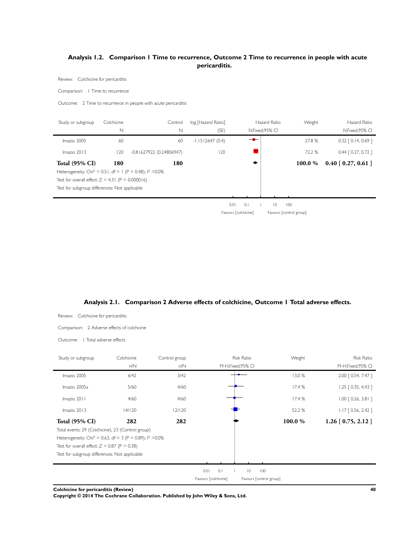#### <span id="page-42-0"></span>**Analysis 1.2. Comparison 1 Time to recurrence, Outcome 2 Time to recurrence in people with acute pericarditis.**

Review: Colchicine for pericarditis

Comparison: 1 Time to recurrence

Outcome: 2 Time to recurrence in people with acute pericarditis

| Study or subgroup                                                      | Colchicine  | Control                  | log [Hazard Ratio] |                      | Hazard Ratio            | Weight  | Hazard Ratio          |
|------------------------------------------------------------------------|-------------|--------------------------|--------------------|----------------------|-------------------------|---------|-----------------------|
|                                                                        | $\mathbb N$ | $\mathbb N$              | (SE)               |                      | IV, Fixed, 95% CI       |         | IV, Fixed, 95% CI     |
| Imazio 2005                                                            | 60          | 60                       | $-1.1512647(0.4)$  | — <del>M</del>       |                         | 27.8 %  | $0.32$ $[0.14, 0.69]$ |
| Imazio 2013                                                            | 120         | -0.81627922 (0.24806947) | 120                |                      |                         | 72.2 %  | $0.44$ $[0.27, 0.72]$ |
| <b>Total (95% CI)</b>                                                  | 180         | 180                      |                    |                      |                         | 100.0 % | $0.40$ [ 0.27, 0.61 ] |
| Heterogeneity: Chi <sup>2</sup> = 0.51, df = 1 (P = 0.48); $1^2$ =0.0% |             |                          |                    |                      |                         |         |                       |
| Test for overall effect: $Z = 4.31$ (P = 0.000016)                     |             |                          |                    |                      |                         |         |                       |
| Test for subgroup differences: Not applicable                          |             |                          |                    |                      |                         |         |                       |
|                                                                        |             |                          |                    |                      |                         |         |                       |
|                                                                        |             |                          |                    | 0.01<br>0.1          | $\overline{10}$         | 100     |                       |
|                                                                        |             |                          |                    | Favours [colchicine] | Favours [control group] |         |                       |
|                                                                        |             |                          |                    |                      |                         |         |                       |
|                                                                        |             |                          |                    |                      |                         |         |                       |
|                                                                        |             |                          |                    |                      |                         |         |                       |
|                                                                        |             |                          |                    |                      |                         |         |                       |



| Review:<br>Colchicine for pericarditis                                                                                                                                                                                                                   |                   |                      |                                         |                               |                                         |
|----------------------------------------------------------------------------------------------------------------------------------------------------------------------------------------------------------------------------------------------------------|-------------------|----------------------|-----------------------------------------|-------------------------------|-----------------------------------------|
| Comparison: 2 Adverse effects of colchicine                                                                                                                                                                                                              |                   |                      |                                         |                               |                                         |
| 1 Total adverse effects<br>Outcome:                                                                                                                                                                                                                      |                   |                      |                                         |                               |                                         |
| Study or subgroup                                                                                                                                                                                                                                        | Colchicine<br>n/N | Control group<br>n/N | <b>Risk Ratio</b><br>M-H, Fixed, 95% CI | Weight                        | <b>Risk Ratio</b><br>M-H, Fixed, 95% CI |
| Imazio 2005                                                                                                                                                                                                                                              | 6/42              | 3/42                 |                                         | 13.0%                         | 2.00 [ 0.54, 7.47 ]                     |
| Imazio 2005a                                                                                                                                                                                                                                             | 5/60              | 4/60                 |                                         | 17.4%                         | $1.25$ $[0.35, 4.43]$                   |
| Imazio 2011                                                                                                                                                                                                                                              | 4/60              | 4/60                 |                                         | 17.4%                         | $1.00$ $[0.26, 3.81]$                   |
| Imazio 2013                                                                                                                                                                                                                                              | 14/120            | 12/120               |                                         | 52.2 %                        | $1.17$ [ 0.56, 2.42 ]                   |
| <b>Total (95% CI)</b><br>Total events: 29 (Colchicine), 23 (Control group)<br>Heterogeneity: Chi <sup>2</sup> = 0.63, df = 3 (P = 0.89); $1^2$ = 0.0%<br>Test for overall effect: $Z = 0.87$ (P = 0.38)<br>Test for subgroup differences: Not applicable | 282               | 282                  | 0.01<br>0.1                             | 100.0 %<br>$ 0\rangle$<br>100 | $1.26$ [ 0.75, 2.12 ]                   |
|                                                                                                                                                                                                                                                          |                   |                      | Favours [colchicine]                    | Favours [control group]       |                                         |
| Colchicine for pericarditis (Review)                                                                                                                                                                                                                     |                   |                      |                                         |                               | 40                                      |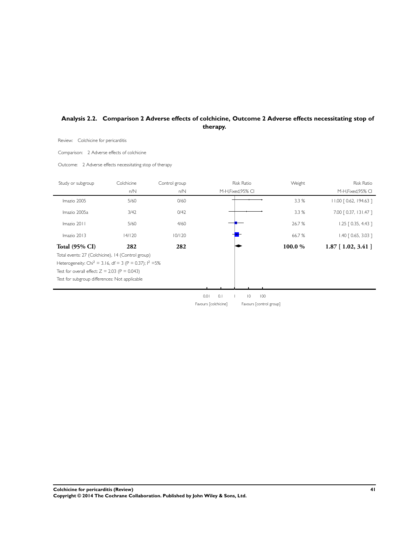#### <span id="page-43-0"></span>**Analysis 2.2. Comparison 2 Adverse effects of colchicine, Outcome 2 Adverse effects necessitating stop of therapy.**

Review: Colchicine for pericarditis

Comparison: 2 Adverse effects of colchicine

Outcome: 2 Adverse effects necessitating stop of therapy

| Study or subgroup                                                                                                                                                                                                             | Colchicine | Control group |                      | Risk Ratio               | Weight  | Risk Ratio              |
|-------------------------------------------------------------------------------------------------------------------------------------------------------------------------------------------------------------------------------|------------|---------------|----------------------|--------------------------|---------|-------------------------|
|                                                                                                                                                                                                                               | n/N        | n/N           |                      | M-H,Fixed,95% CI         |         | M-H, Fixed, 95% CI      |
| Imazio 2005                                                                                                                                                                                                                   | $5/60$     | 0/60          |                      |                          | 3.3%    | 11.00 [0.62, 194.63]    |
| Imazio 2005a                                                                                                                                                                                                                  | 3/42       | 0/42          |                      |                          | 3.3%    | 7.00 [ 0.37, 131.47 ]   |
| Imazio 2011                                                                                                                                                                                                                   | 5/60       | 4/60          |                      |                          | 26.7%   | 1.25 [ 0.35, 4.43 ]     |
| Imazio 2013                                                                                                                                                                                                                   | 14/120     | 10/120        |                      |                          | 66.7%   | $1.40$ [ 0.65, 3.03 ]   |
| <b>Total (95% CI)</b>                                                                                                                                                                                                         | 282        | 282           |                      |                          | 100.0 % | $1.87$ [ $1.02, 3.41$ ] |
| Total events: 27 (Colchicine), 14 (Control group)<br>Heterogeneity: Chi <sup>2</sup> = 3.16, df = 3 (P = 0.37); $1^2$ =5%<br>Test for overall effect: $Z = 2.03$ (P = 0.043)<br>Test for subgroup differences: Not applicable |            |               |                      |                          |         |                         |
|                                                                                                                                                                                                                               |            |               | 0.01<br>$0.1$        | $\vert\,0\,\vert$<br>100 |         |                         |
|                                                                                                                                                                                                                               |            |               | Favours [colchicine] | Favours [control group]  |         |                         |
|                                                                                                                                                                                                                               |            |               |                      |                          |         |                         |
|                                                                                                                                                                                                                               |            |               |                      |                          |         |                         |
|                                                                                                                                                                                                                               |            |               |                      |                          |         |                         |
|                                                                                                                                                                                                                               |            |               |                      |                          |         |                         |
|                                                                                                                                                                                                                               |            |               |                      |                          |         |                         |
|                                                                                                                                                                                                                               |            |               |                      |                          |         |                         |
|                                                                                                                                                                                                                               |            |               |                      |                          |         |                         |
|                                                                                                                                                                                                                               |            |               |                      |                          |         |                         |
|                                                                                                                                                                                                                               |            |               |                      |                          |         |                         |
|                                                                                                                                                                                                                               |            |               |                      |                          |         |                         |
|                                                                                                                                                                                                                               |            |               |                      |                          |         |                         |
|                                                                                                                                                                                                                               |            |               |                      |                          |         |                         |
|                                                                                                                                                                                                                               |            |               |                      |                          |         |                         |
|                                                                                                                                                                                                                               |            |               |                      |                          |         |                         |
|                                                                                                                                                                                                                               |            |               |                      |                          |         |                         |
|                                                                                                                                                                                                                               |            |               |                      |                          |         |                         |
|                                                                                                                                                                                                                               |            |               |                      |                          |         |                         |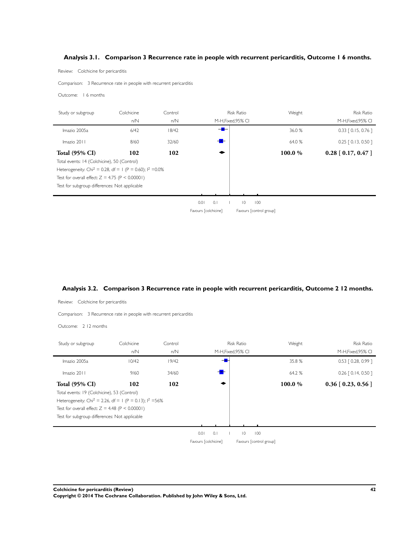#### <span id="page-44-0"></span>**Analysis 3.1. Comparison 3 Recurrence rate in people with recurrent pericarditis, Outcome 1 6 months.**

Review: Colchicine for pericarditis

Comparison: 3 Recurrence rate in people with recurrent pericarditis

Outcome: 1 6 months

| Study or subgroup                                                      | Colchicine | Control |                      |                    | <b>Risk Ratio</b> |                         | Weight | <b>Risk Ratio</b>     |
|------------------------------------------------------------------------|------------|---------|----------------------|--------------------|-------------------|-------------------------|--------|-----------------------|
|                                                                        | n/N        | n/N     |                      | M-H, Fixed, 95% CI |                   |                         |        | M-H, Fixed, 95% CI    |
| Imazio 2005a                                                           | 6/42       | 18/42   |                      | $-$                |                   |                         | 36.0%  | $0.33$ $[0.15, 0.76]$ |
| Imazio 2011                                                            | 8/60       | 32/60   |                      |                    |                   |                         | 64.0 % | $0.25$ $[0.13, 0.50]$ |
| <b>Total (95% CI)</b>                                                  | 102        | 102     |                      |                    |                   |                         | 100.0% | $0.28$ [ 0.17, 0.47 ] |
| Total events: 14 (Colchicine), 50 (Control)                            |            |         |                      |                    |                   |                         |        |                       |
| Heterogeneity: Chi <sup>2</sup> = 0.28, df = 1 (P = 0.60); $1^2$ =0.0% |            |         |                      |                    |                   |                         |        |                       |
| Test for overall effect: $Z = 4.75$ (P < 0.00001)                      |            |         |                      |                    |                   |                         |        |                       |
| Test for subgroup differences: Not applicable                          |            |         |                      |                    |                   |                         |        |                       |
|                                                                        |            |         |                      |                    |                   |                         |        |                       |
|                                                                        |            |         | 0.01                 | 0.1                | $\overline{0}$    | 100                     |        |                       |
|                                                                        |            |         | Favours [colchicine] |                    |                   | Favours [control group] |        |                       |
|                                                                        |            |         |                      |                    |                   |                         |        |                       |
|                                                                        |            |         |                      |                    |                   |                         |        |                       |

#### **Analysis 3.2. Comparison 3 Recurrence rate in people with recurrent pericarditis, Outcome 2 12 months.**

Review: Colchicine for pericarditis

Comparison: 3 Recurrence rate in people with recurrent pericarditis

Outcome: 2 12 months

j.

| Study or subgroup                                                     | Colchicine | Control |                      |     | <b>Risk Ratio</b>  |                         | Weight | <b>Risk Ratio</b>     |
|-----------------------------------------------------------------------|------------|---------|----------------------|-----|--------------------|-------------------------|--------|-----------------------|
|                                                                       | n/N        | n/N     |                      |     | M-H, Fixed, 95% CI |                         |        | M-H, Fixed, 95% CI    |
| Imazio 2005a                                                          | 10/42      | 19/42   |                      |     |                    |                         | 35.8%  | $0.53$ $[0.28, 0.99]$ |
| Imazio 2011                                                           | 9/60       | 34/60   |                      |     |                    |                         | 64.2 % | $0.26$ $[0.14, 0.50]$ |
| <b>Total (95% CI)</b>                                                 | 102        | 102     |                      |     |                    |                         | 100.0% | $0.36$ [ 0.23, 0.56 ] |
| Total events: 19 (Colchicine), 53 (Control)                           |            |         |                      |     |                    |                         |        |                       |
| Heterogeneity: Chi <sup>2</sup> = 2.26, df = 1 (P = 0.13); $1^2$ =56% |            |         |                      |     |                    |                         |        |                       |
| Test for overall effect: $Z = 4.48$ (P < 0.00001)                     |            |         |                      |     |                    |                         |        |                       |
| Test for subgroup differences: Not applicable                         |            |         |                      |     |                    |                         |        |                       |
|                                                                       |            |         |                      |     |                    |                         |        |                       |
|                                                                       |            |         | 0.01                 | 0.1 | $\overline{0}$     | 100                     |        |                       |
|                                                                       |            |         | Favours [colchicine] |     |                    | Favours [control group] |        |                       |
|                                                                       |            |         |                      |     |                    |                         |        |                       |

**Colchicine for pericarditis (Review) 42 Copyright © 2014 The Cochrane Collaboration. Published by John Wiley & Sons, Ltd.**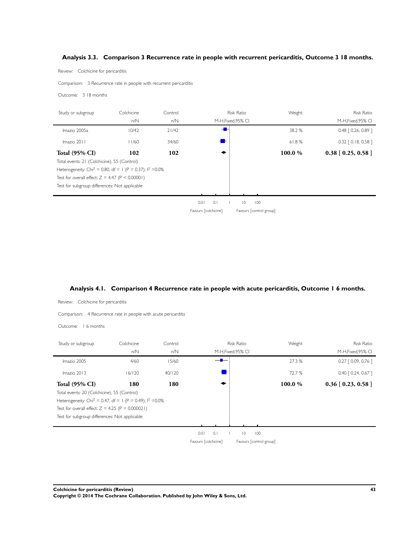#### <span id="page-45-0"></span>**Analysis 3.3. Comparison 3 Recurrence rate in people with recurrent pericarditis, Outcome 3 18 months.**

Review: Colchicine for pericarditis

Review: Colchicine for pericarditis

Comparison: 3 Recurrence rate in people with recurrent pericarditis

Outcome: 3 18 months

j.

| Study or subgroup                                                      | Colchicine | Control |                      |     | <b>Risk Ratio</b>  |                         | Weight | <b>Risk Ratio</b>     |
|------------------------------------------------------------------------|------------|---------|----------------------|-----|--------------------|-------------------------|--------|-----------------------|
|                                                                        | n/N        | n/N     |                      |     | M-H, Fixed, 95% CI |                         |        | M-H, Fixed, 95% CI    |
| Imazio 2005a                                                           | 10/42      | 21/42   |                      |     |                    |                         | 38.2 % | $0.48$ $[0.26, 0.89]$ |
| Imazio 2011                                                            | 11/60      | 34/60   |                      |     |                    |                         | 61.8%  | $0.32$ $[0.18, 0.58]$ |
| <b>Total (95% CI)</b>                                                  | 102        | 102     |                      |     |                    |                         | 100.0% | $0.38$ [ 0.25, 0.58 ] |
| Total events: 21 (Colchicine), 55 (Control)                            |            |         |                      |     |                    |                         |        |                       |
| Heterogeneity: Chi <sup>2</sup> = 0.80, df = 1 (P = 0.37); $1^2$ =0.0% |            |         |                      |     |                    |                         |        |                       |
| Test for overall effect: $Z = 4.47$ (P < 0.00001)                      |            |         |                      |     |                    |                         |        |                       |
| Test for subgroup differences: Not applicable                          |            |         |                      |     |                    |                         |        |                       |
|                                                                        |            |         |                      |     |                    |                         |        |                       |
|                                                                        |            |         | 0.01                 | 0.1 | $\overline{0}$     | 100                     |        |                       |
|                                                                        |            |         | Favours [colchicine] |     |                    | Favours [control group] |        |                       |
|                                                                        |            |         |                      |     |                    |                         |        |                       |
|                                                                        |            |         |                      |     |                    |                         |        |                       |

#### **Analysis 4.1. Comparison 4 Recurrence rate in people with acute pericarditis, Outcome 1 6 months.**

Comparison: 4 Recurrence rate in people with acute pericarditis Outcome: 1 6 months Study or subgroup Colchicine Control Control Risk Ratio Neight Weight Risk Ratio n/N n/N M-H,Fixed,95% CI M-H,Fixed,95% CI Imazio 2005 4/60 4/60 15/60 <del>8</del> 27.3 % 0.27 [ 0.09, 0.76 ] Imazio 2013 16/120 40/120 <del>19</del> 72.7 % 0.40 [ 0.24, 0.67 ] Total (95% CI) 180 180  $\bullet$  180  $\bullet$  100.0 % 0.36 [ 0.23, 0.58 ] Total events: 20 (Colchicine), 55 (Control) Heterogeneity: Chi<sup>2</sup> = 0.47, df = 1 (P = 0.49);  $1^2$  = 0.0% Test for overall effect:  $Z = 4.25$  (P = 0.000021) Test for subgroup differences: Not applicable  $0.01$  0.1 10 100 Favours [colchicine] Favours [control group]

**Colchicine for pericarditis (Review) 43 Copyright © 2014 The Cochrane Collaboration. Published by John Wiley & Sons, Ltd.**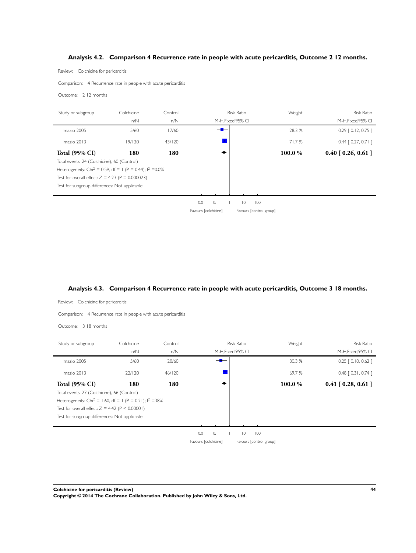#### <span id="page-46-0"></span>**Analysis 4.2. Comparison 4 Recurrence rate in people with acute pericarditis, Outcome 2 12 months.**

Review: Colchicine for pericarditis

Comparison: 4 Recurrence rate in people with acute pericarditis

Outcome: 2 12 months

| Study or subgroup                                                       | Colchicine | Control |                      |     | <b>Risk Ratio</b>  |                         | Weight | <b>Risk Ratio</b>     |
|-------------------------------------------------------------------------|------------|---------|----------------------|-----|--------------------|-------------------------|--------|-----------------------|
|                                                                         | n/N        | n/N     |                      |     | M-H, Fixed, 95% CI |                         |        | M-H, Fixed, 95% CI    |
| Imazio 2005                                                             | 5/60       | 17/60   |                      |     |                    |                         | 28.3 % | $0.29$ $[0.12, 0.75]$ |
| Imazio 2013                                                             | 19/120     | 43/120  |                      |     |                    |                         | 71.7%  | $0.44$ $[0.27, 0.71]$ |
| <b>Total (95% CI)</b>                                                   | 180        | 180     |                      |     |                    |                         | 100.0% | $0.40$ [ 0.26, 0.61 ] |
| Total events: 24 (Colchicine), 60 (Control)                             |            |         |                      |     |                    |                         |        |                       |
| Heterogeneity: Chi <sup>2</sup> = 0.59, df = 1 (P = 0.44); $1^2$ = 0.0% |            |         |                      |     |                    |                         |        |                       |
| Test for overall effect: $Z = 4.23$ (P = 0.000023)                      |            |         |                      |     |                    |                         |        |                       |
| Test for subgroup differences: Not applicable                           |            |         |                      |     |                    |                         |        |                       |
|                                                                         |            |         |                      |     |                    |                         |        |                       |
|                                                                         |            |         | 0.01                 | 0.1 | $\overline{0}$     | 100                     |        |                       |
|                                                                         |            |         | Favours [colchicine] |     |                    | Favours [control group] |        |                       |
|                                                                         |            |         |                      |     |                    |                         |        |                       |
|                                                                         |            |         |                      |     |                    |                         |        |                       |

#### **Analysis 4.3. Comparison 4 Recurrence rate in people with acute pericarditis, Outcome 3 18 months.**

Review: Colchicine for pericarditis

Comparison: 4 Recurrence rate in people with acute pericarditis

Outcome: 3 18 months

| Study or subgroup                                                     | Colchicine | Control |                      |     | <b>Risk Ratio</b>       | Weight  | <b>Risk Ratio</b>     |
|-----------------------------------------------------------------------|------------|---------|----------------------|-----|-------------------------|---------|-----------------------|
|                                                                       | n/N        | n/N     |                      |     | M-H, Fixed, 95% CI      |         | M-H, Fixed, 95% CI    |
| Imazio 2005                                                           | 5/60       | 20/60   |                      |     |                         | 30.3 %  | $0.25$ $[0.10, 0.62]$ |
| Imazio 2013                                                           | 22/120     | 46/120  |                      |     |                         | 69.7%   | $0.48$ $[0.31, 0.74]$ |
| <b>Total (95% CI)</b><br>Total events: 27 (Colchicine), 66 (Control)  | 180        | 180     |                      |     |                         | 100.0 % | $0.41$ [ 0.28, 0.61 ] |
| Heterogeneity: Chi <sup>2</sup> = 1.60, df = 1 (P = 0.21); $1^2$ =38% |            |         |                      |     |                         |         |                       |
| Test for overall effect: $Z = 4.42$ (P < 0.00001)                     |            |         |                      |     |                         |         |                       |
| Test for subgroup differences: Not applicable                         |            |         |                      |     |                         |         |                       |
|                                                                       |            |         |                      |     |                         |         |                       |
|                                                                       |            |         | 0.01                 | 0.1 | $ 0\rangle$             | 100     |                       |
|                                                                       |            |         | Favours [colchicine] |     | Favours [control group] |         |                       |
|                                                                       |            |         |                      |     |                         |         |                       |

**Colchicine for pericarditis (Review) 44 Copyright © 2014 The Cochrane Collaboration. Published by John Wiley & Sons, Ltd.**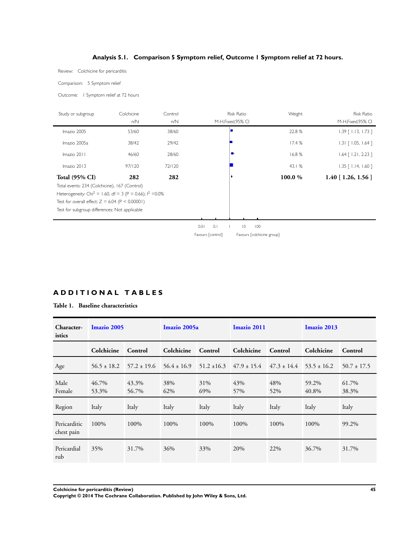#### **Analysis 5.1. Comparison 5 Symptom relief, Outcome 1 Symptom relief at 72 hours.**

<span id="page-47-0"></span>Review: Colchicine for pericarditis

Comparison: 5 Symptom relief

Outcome: 1 Symptom relief at 72 hours

| Study or subgroup                                                      | Colchicine | Control |                   | <b>Risk Ratio</b>          | Weight | <b>Risk Ratio</b>         |
|------------------------------------------------------------------------|------------|---------|-------------------|----------------------------|--------|---------------------------|
|                                                                        | n/N        | n/N     |                   | M-H, Fixed, 95% CI         |        | M-H, Fixed, 95% CI        |
| Imazio 2005                                                            | 53/60      | 38/60   |                   |                            | 22.8 % | $1.39$ $[$ 1.13, 1.73 ]   |
| Imazio 2005a                                                           | 38/42      | 29/42   |                   |                            | 17.4%  | $1.31$ $[1.05, 1.64]$     |
| Imazio 2011                                                            | 46/60      | 28/60   |                   | -⊷                         | 16.8%  | $1.64$ [ $1.21$ , 2.23 ]  |
| Imazio 2013                                                            | 97/120     | 72/120  |                   |                            | 43.1 % | $1.35$ $[$ 1.14, 1.60 $]$ |
| <b>Total (95% CI)</b>                                                  | 282        | 282     |                   |                            | 100.0% | $1.40$ [ 1.26, 1.56 ]     |
| Total events: 234 (Colchicine), 167 (Control)                          |            |         |                   |                            |        |                           |
| Heterogeneity: Chi <sup>2</sup> = 1.60, df = 3 (P = 0.66); $1^2$ =0.0% |            |         |                   |                            |        |                           |
| Test for overall effect: $Z = 6.04$ (P < 0.00001)                      |            |         |                   |                            |        |                           |
| Test for subgroup differences: Not applicable                          |            |         |                   |                            |        |                           |
|                                                                        |            |         |                   |                            |        |                           |
|                                                                        |            |         | 0.1<br>0.01       | $ 0\rangle$<br>100         |        |                           |
|                                                                        |            |         | Favours [control] | Favours [colchicine group] |        |                           |

#### **A D D I T I O N A L T A B L E S**

#### **Table 1. Baseline characteristics**

| Character-<br>istics       | <b>Imazio 2005</b> |                 | Imazio 2005a    |                 | Imazio 2011     |                 | Imazio 2013     |                 |
|----------------------------|--------------------|-----------------|-----------------|-----------------|-----------------|-----------------|-----------------|-----------------|
|                            | Colchicine         | Control         | Colchicine      | Control         | Colchicine      | Control         | Colchicine      | Control         |
| Age                        | $56.5 \pm 18.2$    | $57.2 \pm 19.6$ | $56.4 \pm 16.9$ | $51.2 \pm 16.3$ | $47.9 \pm 15.4$ | $47.3 \pm 14.4$ | $53.5 \pm 16.2$ | $50.7 \pm 17.5$ |
| Male<br>Female             | 46.7%<br>53.3%     | 43.3%<br>56.7%  | 38%<br>62%      | 31%<br>69%      | 43%<br>57%      | 48%<br>52%      | 59.2%<br>40.8%  | 61.7%<br>38.3%  |
| Region                     | Italy              | Italy           | Italy           | Italy           | Italy           | Italy           | Italy           | Italy           |
| Pericarditic<br>chest pain | 100%               | 100%            | 100%            | 100%            | 100%            | 100%            | 100%            | 99.2%           |
| Pericardial<br>rub         | 35%                | 31.7%           | 36%             | 33%             | 20%             | 22%             | 36.7%           | 31.7%           |
|                            |                    |                 |                 |                 |                 |                 |                 |                 |

**Colchicine for pericarditis (Review) 45**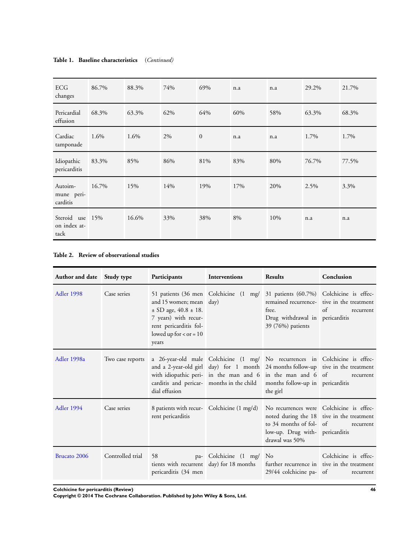| ECG<br>changes                          | 86.7% | 88.3% | 74% | 69%          | n.a | n.a | 29.2% | 21.7% |
|-----------------------------------------|-------|-------|-----|--------------|-----|-----|-------|-------|
| Pericardial<br>effusion                 | 68.3% | 63.3% | 62% | 64%          | 60% | 58% | 63.3% | 68.3% |
| Cardiac<br>tamponade                    | 1.6%  | 1.6%  | 2%  | $\mathbf{0}$ | n.a | n.a | 1.7%  | 1.7%  |
| Idiopathic<br>pericarditis              | 83.3% | 85%   | 86% | 81%          | 83% | 80% | 76.7% | 77.5% |
| Autoim-<br>mune peri-<br>carditis       | 16.7% | 15%   | 14% | 19%          | 17% | 20% | 2.5%  | 3.3%  |
| Steroid use 15%<br>on index at-<br>tack |       | 16.6% | 33% | 38%          | 8%  | 10% | n.a   | n.a   |

#### <span id="page-48-0"></span>**Table 1. Baseline characteristics** (*Continued)*

#### **Table 2. Review of observational studies**

| Author and date Study type |                  | Participants                                                                                                                                                                               | <b>Interventions</b>                                                 | <b>Results</b>                                                                                                                                                                                                                                                                                                          | Conclusion                                                          |
|----------------------------|------------------|--------------------------------------------------------------------------------------------------------------------------------------------------------------------------------------------|----------------------------------------------------------------------|-------------------------------------------------------------------------------------------------------------------------------------------------------------------------------------------------------------------------------------------------------------------------------------------------------------------------|---------------------------------------------------------------------|
| <b>Adler 1998</b>          | Case series      | 51 patients (36 men Colchicine (1<br>and $15$ women; mean $day$ )<br>$\pm$ SD age, 40.8 $\pm$ 18.<br>7 years) with recur-<br>rent pericarditis fol-<br>lowed up for $<$ or $= 10$<br>years |                                                                      | mg/ 31 patients (60.7%) Colchicine is effec-<br>free.<br>Drug withdrawal in pericarditis<br>39 (76%) patients                                                                                                                                                                                                           | remained recurrence- tive in the treatment<br>$\alpha$<br>recurrent |
| Adler 1998a                | Two case reports | dial effusion                                                                                                                                                                              |                                                                      | a 26-year-old male Colchicine (1 mg/ No recurrences in Colchicine is effec-<br>and a 2-year-old girl day) for 1 month 24 months follow-up tive in the treatment<br>with idiopathic peri- in the man and 6 in the man and 6 of<br>carditis and pericar- months in the child months follow-up in pericarditis<br>the girl | recurrent                                                           |
| Adler 1994                 | Case series      | 8 patients with recur- Colchicine (1 mg/d)<br>rent pericarditis                                                                                                                            |                                                                      | No recurrences were Colchicine is effec-<br>to 34 months of fol- of<br>low-up. Drug with- pericarditis<br>drawal was 50%                                                                                                                                                                                                | noted during the 18 tive in the treatment<br>recurrent              |
| Brucato 2006               | Controlled trial | 58<br>pericarditis (34 men                                                                                                                                                                 | pa- Colchicine (1 mg/ No<br>tients with recurrent day) for 18 months | further recurrence in tive in the treatment<br>$29/44$ colchicine pa- of                                                                                                                                                                                                                                                | Colchicine is effec-<br>recurrent                                   |

**Colchicine for pericarditis (Review) 46**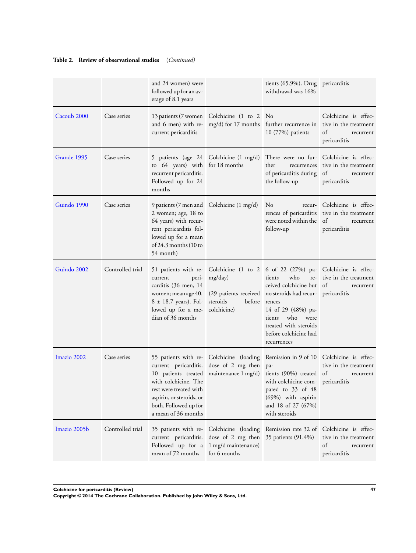#### **Table 2. Review of observational studies** (*Continued)*

|              |                  | and 24 women) were<br>followed up for an av-<br>erage of 8.1 years                                                                                                                   |                                                                                    | tients (65.9%). Drug pericarditis<br>withdrawal was 16%                                                                                                                                                                                                                                                                          |                                                                                                                |
|--------------|------------------|--------------------------------------------------------------------------------------------------------------------------------------------------------------------------------------|------------------------------------------------------------------------------------|----------------------------------------------------------------------------------------------------------------------------------------------------------------------------------------------------------------------------------------------------------------------------------------------------------------------------------|----------------------------------------------------------------------------------------------------------------|
| Cacoub 2000  | Case series      | current pericarditis                                                                                                                                                                 | 13 patients (7 women Colchicine (1 to 2 No                                         | and 6 men) with re- mg/d) for 17 months further recurrence in<br>10 (77%) patients                                                                                                                                                                                                                                               | Colchicine is effec-<br>tive in the treatment<br>of<br>recurrent<br>pericarditis                               |
| Grande 1995  | Case series      | to 64 years) with for 18 months<br>recurrent pericarditis.<br>Followed up for 24<br>months                                                                                           | 5 patients (age 24 Colchicine (1 mg/d)                                             | There were no fur- Colchicine is effec-<br>ther<br>recurrences<br>of pericarditis during<br>the follow-up                                                                                                                                                                                                                        | tive in the treatment<br>of<br>recurrent<br>pericarditis                                                       |
| Guindo 1990  | Case series      | 9 patients (7 men and Colchicine (1 mg/d)<br>2 women; age, 18 to<br>64 years) with recur-<br>rent pericarditis fol-<br>lowed up for a mean<br>of $24.3$ months $(10$ to<br>54 month) |                                                                                    | N <sub>0</sub><br>were noted within the<br>follow-up                                                                                                                                                                                                                                                                             | recur- Colchicine is effec-<br>rences of pericarditis tive in the treatment<br>of<br>recurrent<br>pericarditis |
| Guindo 2002  | Controlled trial | peri-<br>current<br>carditis (36 men, 14<br>women; mean age 40.<br>8 ± 18.7 years). Fol-<br>lowed up for a me-<br>dian of 36 months                                                  | mg/day)<br>steroids<br>colchicine)                                                 | 51 patients with re- Colchicine (1 to 2 6 of 22 (27%) pa- Colchicine is effec-<br>who<br>tients<br>re-<br>ceived colchicine but of<br>(29 patients received no steroids had recur- pericarditis<br>before rences<br>14 of 29 (48%) pa-<br>who<br>tients<br>were<br>treated with steroids<br>before colchicine had<br>recurrences | tive in the treatment<br>recurrent                                                                             |
| Imazio 2002  | Case series      | with colchicine. The<br>rest were treated with<br>aspirin, or steroids, or<br>both. Followed up for<br>a mean of 36 months                                                           | current pericarditis. dose of 2 mg then<br>10 patients treated maintenance 1 mg/d) | 55 patients with re- Colchicine (loading Remission in 9 of 10 Colchicine is effec-<br>pa-<br>tients (90%) treated of<br>with colchicine com- pericarditis<br>pared to 33 of 48<br>(69%) with aspirin<br>and 18 of 27 (67%)<br>with steroids                                                                                      | tive in the treatment<br>recurrent                                                                             |
| Imazio 2005b | Controlled trial | 35 patients with re-<br>current pericarditis.<br>Followed up for a<br>mean of 72 months                                                                                              | dose of 2 mg then 35 patients (91.4%)<br>1 mg/d maintenance)<br>for 6 months       | Colchicine (loading Remission rate 32 of                                                                                                                                                                                                                                                                                         | Colchicine is effec-<br>tive in the treatment<br>of<br>recurrent<br>pericarditis                               |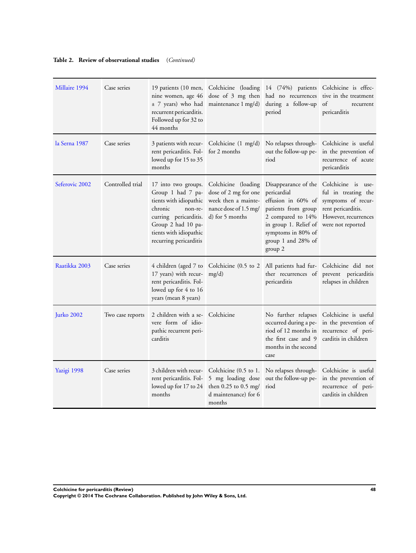#### **Table 2. Review of observational studies** (*Continued)*

| Millaire 1994  | Case series      | 19 patients (10 men,<br>nine women, age 46<br>± 7 years) who had<br>recurrent pericarditis.<br>Followed up for 32 to<br>44 months                                                           | maintenance 1 mg/d)                                                                                            | Colchicine (loading 14 (74%) patients Colchicine is effec-<br>dose of 3 mg then had no recurrences<br>during a follow-up<br>period                                                                       | tive in the treatment<br>of<br>recurrent<br>pericarditis                                                     |
|----------------|------------------|---------------------------------------------------------------------------------------------------------------------------------------------------------------------------------------------|----------------------------------------------------------------------------------------------------------------|----------------------------------------------------------------------------------------------------------------------------------------------------------------------------------------------------------|--------------------------------------------------------------------------------------------------------------|
| la Serna 1987  | Case series      | rent pericarditis. Fol-<br>lowed up for 15 to 35<br>months                                                                                                                                  | 3 patients with recur- Colchicine (1 mg/d)<br>for 2 months                                                     | No relapses through-<br>out the follow-up pe-<br>riod                                                                                                                                                    | Colchicine is useful<br>in the prevention of<br>recurrence of acute<br>pericarditis                          |
| Seferovic 2002 | Controlled trial | 17 into two groups.<br>Group 1 had 7 pa-<br>tients with idiopathic<br>chronic<br>non-re-<br>curring pericarditis.<br>Group 2 had 10 pa-<br>tients with idiopathic<br>recurring pericarditis | Colchicine (loading<br>dose of 2 mg for one<br>week then a mainte-<br>nance dose of 1.5 mg/<br>d) for 5 months | Disappearance of the Colchicine is use-<br>pericardial<br>effusion in 60% of<br>patients from group<br>2 compared to 14%<br>in group 1. Relief of<br>symptoms in 80% of<br>group 1 and 28% of<br>group 2 | ful in treating the<br>symptoms of recur-<br>rent pericarditis.<br>However, recurrences<br>were not reported |
| Raatikka 2003  | Case series      | 4 children (aged 7 to<br>17 years) with recur-<br>rent pericarditis. Fol-<br>lowed up for 4 to 16<br>years (mean 8 years)                                                                   | mg/d)                                                                                                          | Colchicine (0.5 to 2 All patients had fur- Colchicine did not<br>ther recurrences of<br>pericarditis                                                                                                     | prevent pericarditis<br>relapses in children                                                                 |
| Jurko 2002     | Two case reports | 2 children with a se-<br>vere form of idio-<br>pathic recurrent peri-<br>carditis                                                                                                           | Colchicine                                                                                                     | No further relapses<br>occurred during a pe-<br>riod of 12 months in<br>the first case and 9<br>months in the second<br>case                                                                             | Colchicine is useful<br>in the prevention of<br>recurrence of peri-<br>carditis in children                  |
| Yazigi 1998    | Case series      | 3 children with recur-<br>rent pericarditis. Fol-<br>lowed up for 17 to 24<br>months                                                                                                        | Colchicine (0.5 to 1.<br>5 mg loading dose<br>then $0.25$ to $0.5$ mg/<br>d maintenance) for 6<br>months       | No relapses through-<br>out the follow-up pe-<br>riod                                                                                                                                                    | Colchicine is useful<br>in the prevention of<br>recurrence of peri-<br>carditis in children                  |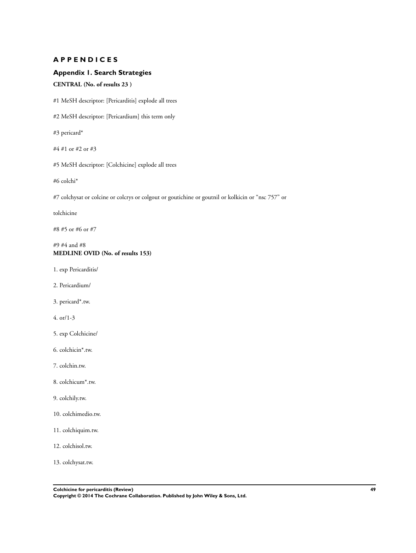#### <span id="page-51-0"></span>**A P P E N D I C E S**

#### **Appendix 1. Search Strategies**

#### **CENTRAL (No. of results 23 )**

#1 MeSH descriptor: [Pericarditis] explode all trees

#2 MeSH descriptor: [Pericardium] this term only

#3 pericard\*

#4 #1 or #2 or #3

#5 MeSH descriptor: [Colchicine] explode all trees

#6 colchi\*

#7 colchysat or colcine or colcrys or colgout or goutichine or goutnil or kolkicin or "nsc 757" or

tolchicine

#8 #5 or #6 or #7

#### #9 #4 and #8 **MEDLINE OVID (No. of results 153)**

1. exp Pericarditis/

- 2. Pericardium/
- 3. pericard\*.tw.
- 4. or/1-3
- 5. exp Colchicine/
- 6. colchicin\*.tw.
- 7. colchin.tw.
- 8. colchicum\*.tw.
- 9. colchily.tw.
- 10. colchimedio.tw.
- 11. colchiquim.tw.
- 12. colchisol.tw.

13. colchysat.tw.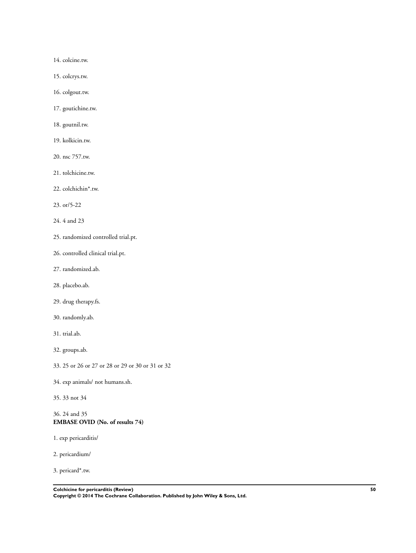14. colcine.tw.

15. colcrys.tw.

16. colgout.tw.

17. goutichine.tw.

18. goutnil.tw.

19. kolkicin.tw.

20. nsc 757.tw.

21. tolchicine.tw.

22. colchichin\*.tw.

23. or/5-22

24. 4 and 23

25. randomized controlled trial.pt.

26. controlled clinical trial.pt.

27. randomized.ab.

28. placebo.ab.

29. drug therapy.fs.

30. randomly.ab.

31. trial.ab.

32. groups.ab.

33. 25 or 26 or 27 or 28 or 29 or 30 or 31 or 32

34. exp animals/ not humans.sh.

35. 33 not 34

#### 36. 24 and 35 **EMBASE OVID (No. of results 74)**

1. exp pericarditis/

2. pericardium/

3. pericard\*.tw.

**Colchicine for pericarditis (Review) 50**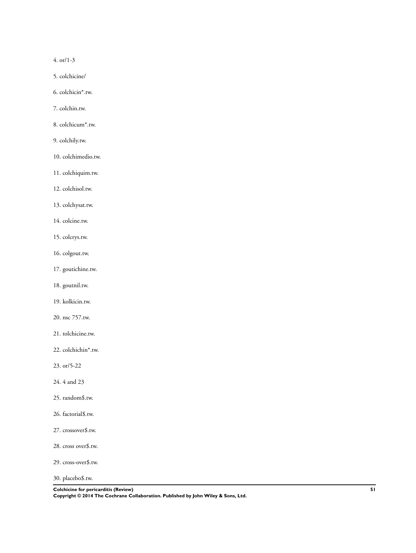4. or/1-3

- 5. colchicine/
- 6. colchicin\*.tw.
- 7. colchin.tw.
- 8. colchicum\*.tw.
- 9. colchily.tw.
- 10. colchimedio.tw.
- 11. colchiquim.tw.
- 12. colchisol.tw.
- 13. colchysat.tw.
- 14. colcine.tw.
- 15. colcrys.tw.
- 16. colgout.tw.
- 17. goutichine.tw.
- 18. goutnil.tw.
- 19. kolkicin.tw.
- 20. nsc 757.tw.
- 21. tolchicine.tw.
- 22. colchichin\*.tw.
- 23. or/5-22
- 24. 4 and 23
- 25. random\$.tw.
- 26. factorial\$.tw.
- 27. crossover\$.tw.
- 28. cross over\$.tw.
- 29. cross-over\$.tw.
- 30. placebo\$.tw.

**Colchicine for pericarditis (Review) 51 Copyright © 2014 The Cochrane Collaboration. Published by John Wiley & Sons, Ltd.**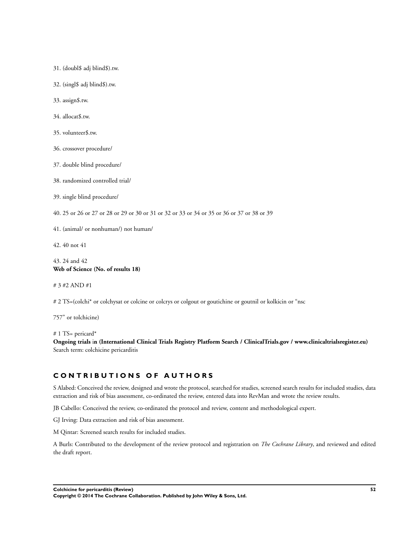31. (doubl\$ adj blind\$).tw.

32. (singl\$ adj blind\$).tw.

33. assign\$.tw.

34. allocat\$.tw.

35. volunteer\$.tw.

36. crossover procedure/

37. double blind procedure/

38. randomized controlled trial/

39. single blind procedure/

40. 25 or 26 or 27 or 28 or 29 or 30 or 31 or 32 or 33 or 34 or 35 or 36 or 37 or 38 or 39

41. (animal/ or nonhuman/) not human/

42. 40 not 41

43. 24 and 42 **Web of Science (No. of results 18)**

# 3 #2 AND #1

# 2 TS=(colchi\* or colchysat or colcine or colcrys or colgout or goutichine or goutnil or kolkicin or "nsc

757" or tolchicine)

# 1 TS= pericard\*

**Ongoing trials** i**n (International Clinical Trials Registry Platform Search / ClinicalTrials.gov / www.clinicaltrialsregister.eu)** Search term: colchicine pericarditis

#### **C O N T R I B U T I O N S O F A U T H O R S**

S Alabed: Conceived the review, designed and wrote the protocol, searched for studies, screened search results for included studies, data extraction and risk of bias assessment, co-ordinated the review, entered data into RevMan and wrote the review results.

JB Cabello: Conceived the review, co-ordinated the protocol and review, content and methodological expert.

GJ Irving: Data extraction and risk of bias assessment.

M Qintar: Screened search results for included studies.

A Burls: Contributed to the development of the review protocol and registration on *The Cochrane Library*, and reviewed and edited the draft report.

**Colchicine for pericarditis (Review) 52**